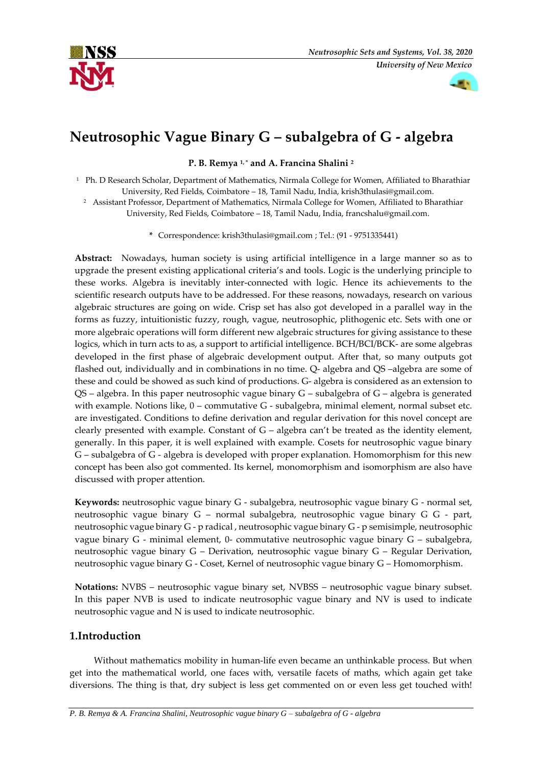



# **Neutrosophic Vague Binary G – subalgebra of G - algebra**

**P. B. Remya 1, \* and A. Francina Shalini <sup>2</sup>**

<sup>1</sup> Ph. D Research Scholar, Department of Mathematics, Nirmala College for Women, Affiliated to Bharathiar University, Red Fields, Coimbatore – 18, Tamil Nadu, India, krish3thulasi@gmail.com.

<sup>2</sup> Assistant Professor, Department of Mathematics, Nirmala College for Women, Affiliated to Bharathiar University, Red Fields, Coimbatore – 18, Tamil Nadu, India, francshalu@gmail.com.

**\*** Correspondence: krish3thulasi@gmail.com ; Tel.: (91 - 9751335441)

**Abstract:** Nowadays, human society is using artificial intelligence in a large manner so as to upgrade the present existing applicational criteria's and tools. Logic is the underlying principle to these works. Algebra is inevitably inter-connected with logic. Hence its achievements to the scientific research outputs have to be addressed. For these reasons, nowadays, research on various algebraic structures are going on wide. Crisp set has also got developed in a parallel way in the forms as fuzzy, intuitionistic fuzzy, rough, vague, neutrosophic, plithogenic etc. Sets with one or more algebraic operations will form different new algebraic structures for giving assistance to these logics, which in turn acts to as, a support to artificial intelligence. BCH/BCI/BCK- are some algebras developed in the first phase of algebraic development output. After that, so many outputs got flashed out, individually and in combinations in no time. Q- algebra and QS –algebra are some of these and could be showed as such kind of productions. G- algebra is considered as an extension to QS – algebra. In this paper neutrosophic vague binary G – subalgebra of G – algebra is generated with example. Notions like, 0 – commutative G - subalgebra, minimal element, normal subset etc. are investigated. Conditions to define derivation and regular derivation for this novel concept are clearly presented with example. Constant of G – algebra can't be treated as the identity element, generally. In this paper, it is well explained with example. Cosets for neutrosophic vague binary G – subalgebra of G - algebra is developed with proper explanation. Homomorphism for this new concept has been also got commented. Its kernel, monomorphism and isomorphism are also have discussed with proper attention.

**Keywords:** neutrosophic vague binary G - subalgebra, neutrosophic vague binary G - normal set, neutrosophic vague binary G – normal subalgebra, neutrosophic vague binary G G - part, neutrosophic vague binary G - p radical , neutrosophic vague binary G - p semisimple, neutrosophic vague binary G - minimal element, 0- commutative neutrosophic vague binary G – subalgebra, neutrosophic vague binary G – Derivation, neutrosophic vague binary G – Regular Derivation, neutrosophic vague binary G - Coset, Kernel of neutrosophic vague binary G – Homomorphism.

**Notations:** NVBS – neutrosophic vague binary set, NVBSS – neutrosophic vague binary subset. In this paper NVB is used to indicate neutrosophic vague binary and NV is used to indicate neutrosophic vague and N is used to indicate neutrosophic.

# **1.Introduction**

 Without mathematics mobility in human-life even became an unthinkable process. But when get into the mathematical world, one faces with, versatile facets of maths, which again get take diversions. The thing is that, dry subject is less get commented on or even less get touched with!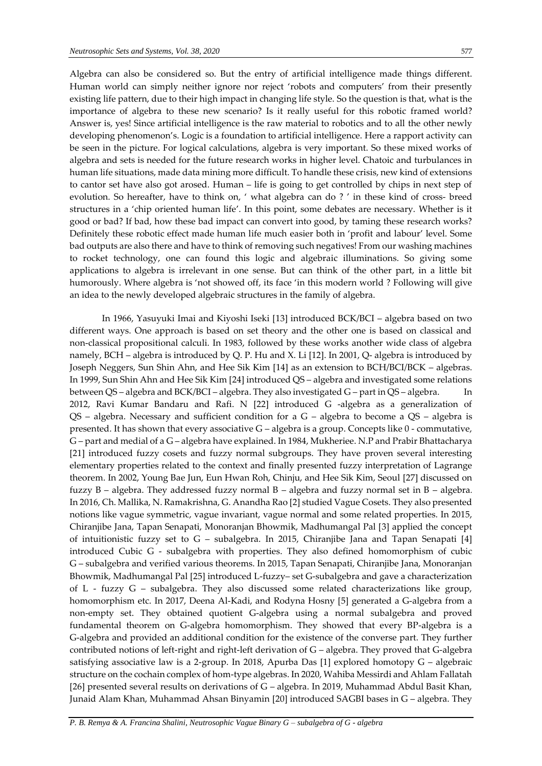Algebra can also be considered so. But the entry of artificial intelligence made things different. Human world can simply neither ignore nor reject 'robots and computers' from their presently existing life pattern, due to their high impact in changing life style. So the question is that, what is the importance of algebra to these new scenario? Is it really useful for this robotic framed world? Answer is, yes! Since artificial intelligence is the raw material to robotics and to all the other newly developing phenomenon's. Logic is a foundation to artificial intelligence. Here a rapport activity can be seen in the picture. For logical calculations, algebra is very important. So these mixed works of algebra and sets is needed for the future research works in higher level. Chatoic and turbulances in human life situations, made data mining more difficult. To handle these crisis, new kind of extensions to cantor set have also got arosed. Human – life is going to get controlled by chips in next step of evolution. So hereafter, have to think on, ' what algebra can do ? ' in these kind of cross- breed structures in a 'chip oriented human life'. In this point, some debates are necessary. Whether is it good or bad? If bad, how these bad impact can convert into good, by taming these research works? Definitely these robotic effect made human life much easier both in 'profit and labour' level. Some bad outputs are also there and have to think of removing such negatives! From our washing machines to rocket technology, one can found this logic and algebraic illuminations. So giving some applications to algebra is irrelevant in one sense. But can think of the other part, in a little bit humorously. Where algebra is 'not showed off, its face 'in this modern world ? Following will give an idea to the newly developed algebraic structures in the family of algebra.

 In 1966, Yasuyuki Imai and Kiyoshi Iseki [13] introduced BCK/BCI – algebra based on two different ways. One approach is based on set theory and the other one is based on classical and non-classical propositional calculi. In 1983, followed by these works another wide class of algebra namely, BCH – algebra is introduced by Q. P. Hu and X. Li [12]. In 2001, Q- algebra is introduced by Joseph Neggers, Sun Shin Ahn, and Hee Sik Kim [14] as an extension to BCH/BCI/BCK – algebras. In 1999, Sun Shin Ahn and Hee Sik Kim [24] introduced QS – algebra and investigated some relations between QS – algebra and BCK/BCI – algebra. They also investigated G – part in QS – algebra. In 2012, Ravi Kumar Bandaru and Rafi. N [22] introduced G -algebra as a generalization of QS – algebra. Necessary and sufficient condition for a G – algebra to become a QS – algebra is presented. It has shown that every associative G – algebra is a group. Concepts like 0 - commutative, G – part and medial of a G – algebra have explained. In 1984, Mukheriee. N.P and Prabir Bhattacharya [21] introduced fuzzy cosets and fuzzy normal subgroups. They have proven several interesting elementary properties related to the context and finally presented fuzzy interpretation of Lagrange theorem. In 2002, Young Bae Jun, Eun Hwan Roh, Chinju, and Hee Sik Kim, Seoul [27] discussed on fuzzy B – algebra. They addressed fuzzy normal B – algebra and fuzzy normal set in B – algebra. In 2016, Ch. Mallika, N. Ramakrishna, G. Anandha Rao [2] studied Vague Cosets. They also presented notions like vague symmetric, vague invariant, vague normal and some related properties. In 2015, Chiranjibe Jana, Tapan Senapati, Monoranjan Bhowmik, Madhumangal Pal [3] applied the concept of intuitionistic fuzzy set to G – subalgebra. In 2015, Chiranjibe Jana and Tapan Senapati [4] introduced Cubic G - subalgebra with properties. They also defined homomorphism of cubic G – subalgebra and verified various theorems. In 2015, Tapan Senapati, Chiranjibe Jana, Monoranjan Bhowmik, Madhumangal Pal [25] introduced L-fuzzy– set G-subalgebra and gave a characterization of L - fuzzy G – subalgebra. They also discussed some related characterizations like group, homomorphism etc. In 2017, Deena Al-Kadi, and Rodyna Hosny [5] generated a G-algebra from a non-empty set. They obtained quotient G-algebra using a normal subalgebra and proved fundamental theorem on G-algebra homomorphism. They showed that every BP-algebra is a G-algebra and provided an additional condition for the existence of the converse part. They further contributed notions of left-right and right-left derivation of G – algebra. They proved that G-algebra satisfying associative law is a 2-group. In 2018, Apurba Das [1] explored homotopy G – algebraic structure on the cochain complex of hom-type algebras. In 2020, Wahiba Messirdi and Ahlam Fallatah [26] presented several results on derivations of G – algebra. In 2019, Muhammad Abdul Basit Khan, Junaid Alam Khan, Muhammad Ahsan Binyamin [20] introduced SAGBI bases in G – algebra. They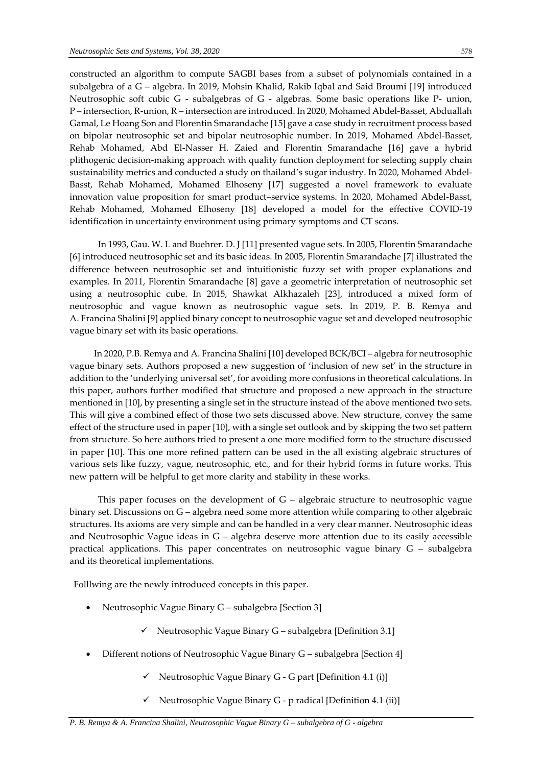constructed an algorithm to compute SAGBI bases from a subset of polynomials contained in a subalgebra of a G – algebra. In 2019, Mohsin Khalid, Rakib Iqbal and Said Broumi [19] introduced Neutrosophic soft cubic G - subalgebras of G - algebras. Some basic operations like P- union, P – intersection, R-union, R – intersection are introduced. In 2020, Mohamed Abdel-Basset, Abduallah Gamal, Le Hoang Son and Florentin Smarandache [15] gave a case study in recruitment process based on bipolar neutrosophic set and bipolar neutrosophic number. In 2019, Mohamed Abdel-Basset, Rehab Mohamed, Abd El-Nasser H. Zaied and Florentin Smarandache [16] gave a hybrid plithogenic decision-making approach with quality function deployment for selecting supply chain sustainability metrics and conducted a study on thailand's sugar industry. In 2020, Mohamed Abdel-Basst, Rehab Mohamed, Mohamed Elhoseny [17] suggested a novel framework to evaluate innovation value proposition for smart product–service systems. In 2020, Mohamed Abdel-Basst, Rehab Mohamed, Mohamed Elhoseny [18] developed a model for the effective COVID-19 identification in uncertainty environment using primary symptoms and CT scans.

 In 1993, Gau. W. L and Buehrer. D. J [11] presented vague sets. In 2005, Florentin Smarandache [6] introduced neutrosophic set and its basic ideas. In 2005, Florentin Smarandache [7] illustrated the difference between neutrosophic set and intuitionistic fuzzy set with proper explanations and examples. In 2011, Florentin Smarandache [8] gave a geometric interpretation of neutrosophic set using a neutrosophic cube. In 2015, Shawkat Alkhazaleh [23], introduced a mixed form of neutrosophic and vague known as neutrosophic vague sets. In 2019, P. B. Remya and A. Francina Shalini [9] applied binary concept to neutrosophic vague set and developed neutrosophic vague binary set with its basic operations.

 In 2020, P.B. Remya and A. Francina Shalini [10] developed BCK/BCI – algebra for neutrosophic vague binary sets. Authors proposed a new suggestion of 'inclusion of new set' in the structure in addition to the 'underlying universal set', for avoiding more confusions in theoretical calculations. In this paper, authors further modified that structure and proposed a new approach in the structure mentioned in [10], by presenting a single set in the structure instead of the above mentioned two sets. This will give a combined effect of those two sets discussed above. New structure, convey the same effect of the structure used in paper [10], with a single set outlook and by skipping the two set pattern from structure. So here authors tried to present a one more modified form to the structure discussed in paper [10]. This one more refined pattern can be used in the all existing algebraic structures of various sets like fuzzy, vague, neutrosophic, etc., and for their hybrid forms in future works. This new pattern will be helpful to get more clarity and stability in these works.

This paper focuses on the development of  $G -$  algebraic structure to neutrosophic vague binary set. Discussions on G – algebra need some more attention while comparing to other algebraic structures. Its axioms are very simple and can be handled in a very clear manner. Neutrosophic ideas and Neutrosophic Vague ideas in G – algebra deserve more attention due to its easily accessible practical applications. This paper concentrates on neutrosophic vague binary G – subalgebra and its theoretical implementations.

Folllwing are the newly introduced concepts in this paper.

- Neutrosophic Vague Binary G subalgebra [Section 3]
	- $\checkmark$  Neutrosophic Vague Binary G subalgebra [Definition 3.1]
- Different notions of Neutrosophic Vague Binary G subalgebra [Section 4]
	- $\checkmark$  Neutrosophic Vague Binary G G part [Definition 4.1 (i)]
	- ✓ Neutrosophic Vague Binary G p radical [Definition 4.1 (ii)]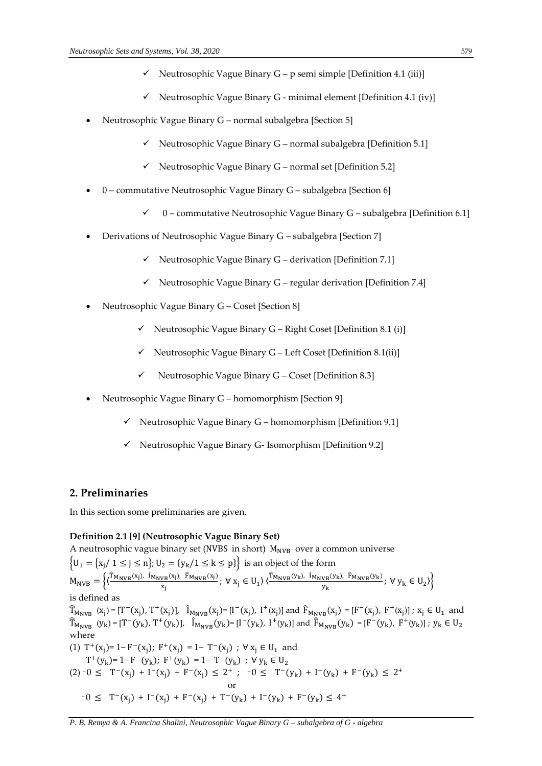- $\checkmark$  Neutrosophic Vague Binary G p semi simple [Definition 4.1 (iii)]
- $\checkmark$  Neutrosophic Vague Binary G minimal element [Definition 4.1 (iv)]
- Neutrosophic Vague Binary G normal subalgebra [Section 5]
	- $\checkmark$  Neutrosophic Vague Binary G normal subalgebra [Definition 5.1]
	- $\checkmark$  Neutrosophic Vague Binary G normal set [Definition 5.2]
- 0 commutative Neutrosophic Vague Binary G subalgebra [Section 6]
	- $\checkmark$  0 commutative Neutrosophic Vague Binary G subalgebra [Definition 6.1]
- Derivations of Neutrosophic Vague Binary G subalgebra [Section 7]
	- $\checkmark$  Neutrosophic Vague Binary G derivation [Definition 7.1]
	- $\checkmark$  Neutrosophic Vague Binary G regular derivation [Definition 7.4]
- Neutrosophic Vague Binary G Coset [Section 8]
	- $\checkmark$  Neutrosophic Vague Binary G Right Coset [Definition 8.1 (i)]
	- $\checkmark$  Neutrosophic Vague Binary G Left Coset [Definition 8.1(ii)]
	- $\checkmark$  Neutrosophic Vague Binary G Coset [Definition 8.3]
- Neutrosophic Vague Binary G homomorphism [Section 9]
	- $\checkmark$  Neutrosophic Vague Binary G homomorphism [Definition 9.1]
	- $\checkmark$  Neutrosophic Vague Binary G- Isomorphism [Definition 9.2]

# **2. Preliminaries**

In this section some preliminaries are given.

# **Definition 2.1 [9] (Neutrosophic Vague Binary Set)**

A neutrosophic vague binary set (NVBS in short)  $M_{NVR}$  over a common universe  $\{U_1 = \{x_i / 1 \le j \le n\}; U_2 = \{y_k / 1 \le k \le p\}\}$  is an object of the form  $M_{\text{NVB}} = \left\{ \left( \frac{\hat{T}_{\text{M}_{\text{NVB}}}(x_j), \hat{I}_{\text{M}_{\text{NVB}}}(x_j), \hat{F}_{\text{M}_{\text{NVB}}}(x_j)}{x} \right) \right\}$  $\frac{v_B(x_j), \ \widehat{F}_{M_\text{NVB}}(x_j)}{x_j}; \ \forall \ x_j \in U_1 \rangle \langle \frac{\widehat{T}_{M_\text{NVB}}(y_k), \ \widehat{I}_{M_\text{NVB}}(y_k), \ \widehat{F}_{M_\text{NVB}}(y_k)}{y_k} \rangle$  $\left\{\frac{y_B \vee}{y_k}, \frac{y_B \vee}{y_k}, \forall y_k \in U_2 \right\}$ is defined as  $\hat{T}_{M_{NVB}} (x_j) = [T^-(x_j), T^+(x_j)], \hat{I}_{M_{NVB}} (x_j) = [I^-(x_j), I^+(x_j)]$  and  $\hat{F}_{M_{NVB}} (x_j) = [F^-(x_j), F^+(x_j)]$ ;  $x_j \in U_1$  and  $\widehat{T}_{M_{\text{NVB}}} \ (y_{\text{k}}) = [T^-(y_{\text{k}}), T^+(y_{\text{k}})], \quad \widehat{I}_{M_{\text{NVB}}}(y_{\text{k}}) = [I^-(y_{\text{k}}), \ I^+(y_{\text{k}})] \ \text{and} \ \widehat{F}_{M_{\text{NVB}}}(y_{\text{k}}) = [F^-(y_{\text{k}}), \ F^+(y_{\text{k}})] \ ; \ y_{\text{k}} \in \mathbb{U}_2$ where (1) T<sup>+</sup>(x<sub>j</sub>)= 1− F<sup>-</sup>(x<sub>j</sub>); F<sup>+</sup>(x<sub>j</sub>) = 1− T<sup>-</sup>(x<sub>j</sub>); ∀ x<sub>j</sub> ∈ U<sub>1</sub> and T<sup>+</sup>(y<sub>k</sub>)= 1− F<sup>-</sup>(y<sub>k</sub>); F<sup>+</sup>(y<sub>k</sub>) = 1− T<sup>-</sup>(y<sub>k</sub>) ; ∀ y<sub>k</sub> ∈ U<sub>2</sub>  $(2)$   $-0 \leq T^{-}(x_j) + I^{-}(x_j) + F^{-}(x_j) \leq 2^{+}$ ;  $-0 \leq T^{-}(y_k) + I^{-}(y_k) + F^{-}(y_k) \leq 2^{+}$  or  $-0 \leq T^-(x_j) + I^-(x_j) + F^-(x_j) + T^-(y_k) + I^-(y_k) + F^-(y_k) \leq 4^+$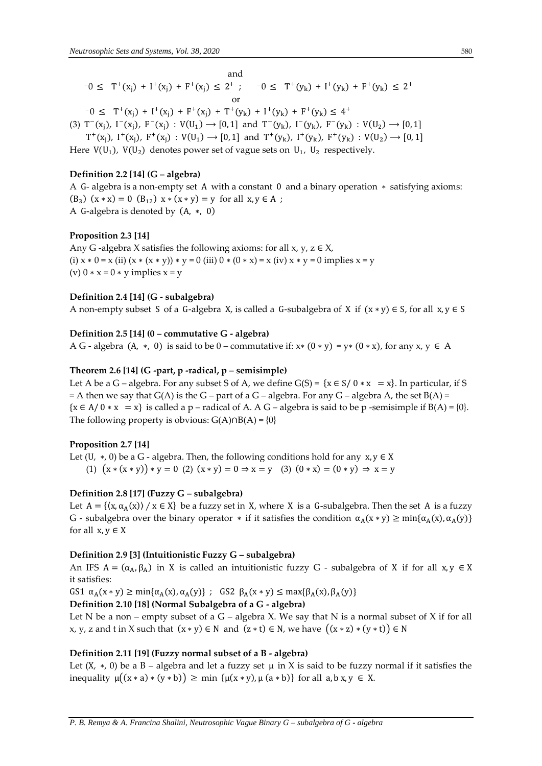and  
\n
$$
-0 \leq T^+(x_j) + I^+(x_j) + F^+(x_j) \leq 2^+; \quad -0 \leq T^+(y_k) + I^+(y_k) + F^+(y_k) \leq 2^+
$$
  
\nor

 $-0 \leq T^+(x_j) + I^+(x_j) + F^+(x_j) + T^+(y_k) + I^+(y_k) + F^+(y_k) \leq 4^+$ 

(3)  $T^-(x_j)$ ,  $I^-(x_j)$ ,  $F^-(x_j)$ :  $V(U_1) \rightarrow [0, 1]$  and  $T^-(y_k)$ ,  $I^-(y_k)$ ,  $F^-(y_k)$ :  $V(U_2) \rightarrow [0, 1]$ 

 $T^+(x_j)$ ,  $I^+(x_j)$ ,  $F^+(x_j)$ :  $V(U_1) \rightarrow [0,1]$  and  $T^+(y_k)$ ,  $I^+(y_k)$ ,  $F^+(y_k)$ :  $V(U_2) \rightarrow [0,1]$ 

Here  $V(U_1)$ ,  $V(U_2)$  denotes power set of vague sets on  $U_1$ ,  $U_2$  respectively.

# **Definition 2.2 [14] (G – algebra)**

A G- algebra is a non-empty set A with a constant 0 and a binary operation ∗ satisfying axioms: (B<sub>3</sub>) (x \* x) = 0 (B<sub>12</sub>) x \* (x \* y) = y for all x, y  $\in$  A ; A G-algebra is denoted by (A, ∗, 0)

## **Proposition 2.3 [14]**

Any G -algebra X satisfies the following axioms: for all  $x, y, z \in X$ , (i)  $x * 0 = x$  (ii)  $(x * (x * y)) * y = 0$  (iii)  $0 * (0 * x) = x$  (iv)  $x * y = 0$  implies  $x = y$ (v)  $0 * x = 0 * y$  implies  $x = y$ 

## **Definition 2.4 [14] (G - subalgebra)**

A non-empty subset S of a G-algebra X, is called a G-subalgebra of X if  $(x * y) \in S$ , for all  $x, y \in S$ 

## **Definition 2.5 [14] (0 – commutative G - algebra)**

A G - algebra (A,  $*$ , 0) is said to be 0 – commutative if:  $x*(0*y) = y*(0*x)$ , for any  $x, y \in A$ 

#### **Theorem 2.6 [14] (G -part, p -radical, p – semisimple)**

Let A be a G – algebra. For any subset S of A, we define  $G(S) = \{x \in S / 0 * x = x\}$ . In particular, if S  $=$  A then we say that  $G(A)$  is the  $G$  – part of a  $G$  – algebra. For any  $G$  – algebra A, the set  $B(A)$  =  ${x \in A / 0 * x = x}$  is called a p – radical of A. A G – algebra is said to be p -semisimple if  $B(A) = \{0\}$ . The following property is obvious:  $G(A) \cap B(A) = \{0\}$ 

## **Proposition 2.7 [14]**

Let (U,  $\ast$ , 0) be a G - algebra. Then, the following conditions hold for any  $x, y \in X$ 

(1)  $(x * (x * y)) * y = 0$  (2)  $(x * y) = 0 \Rightarrow x = y$  (3)  $(0 * x) = (0 * y) \Rightarrow x = y$ 

## **Definition 2.8 [17] (Fuzzy G – subalgebra)**

Let  $A = \{(x, \alpha_A(x)) \mid x \in X\}$  be a fuzzy set in X, where X is a G-subalgebra. Then the set A is a fuzzy G - subalgebra over the binary operator  $*$  if it satisfies the condition  $\alpha_A(x * y) \ge \min{\{\alpha_A(x), \alpha_A(y)\}}$ for all  $x, y \in X$ 

#### **Definition 2.9 [3] (Intuitionistic Fuzzy G – subalgebra)**

An IFS  $A = (\alpha_A, \beta_A)$  in X is called an intuitionistic fuzzy G - subalgebra of X if for all x, y  $\in X$ it satisfies:

GS1  $\alpha_A(x * y) \ge \min{\alpha_A(x), \alpha_A(y)}$ ; GS2  $\beta_A(x * y) \le \max{\beta_A(x), \beta_A(y)}$ 

**Definition 2.10 [18] (Normal Subalgebra of a G - algebra)**

Let N be a non – empty subset of a  $G$  – algebra X. We say that N is a normal subset of X if for all x, y, z and t in X such that  $(x * y) \in N$  and  $(z * t) \in N$ , we have  $((x * z) * (y * t)) \in N$ 

#### **Definition 2.11 [19] (Fuzzy normal subset of a B - algebra)**

Let  $(X, * , 0)$  be a B – algebra and let a fuzzy set  $\mu$  in X is said to be fuzzy normal if it satisfies the inequality  $\mu((x * a) * (y * b)) \ge \min \{ \mu(x * y), \mu(a * b) \}$  for all  $a, b, x, y \in X$ .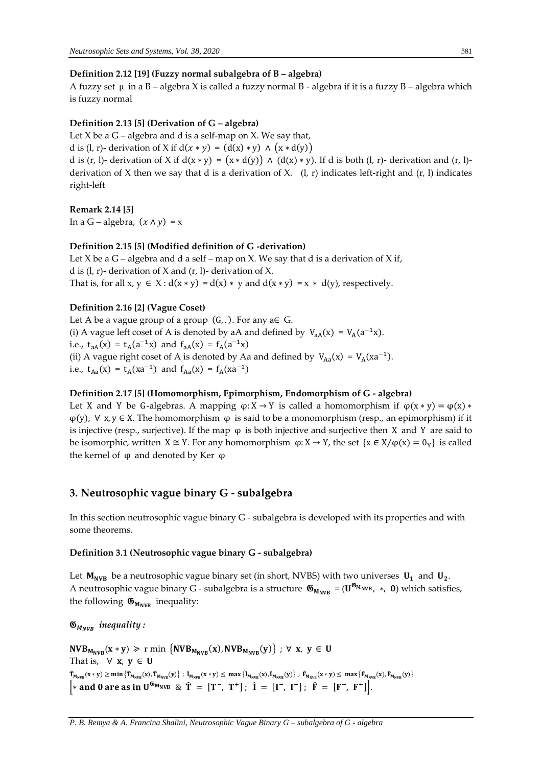## **Definition 2.12 [19] (Fuzzy normal subalgebra of B – algebra)**

A fuzzy set  $\mu$  in a B – algebra X is called a fuzzy normal B - algebra if it is a fuzzy B – algebra which is fuzzy normal

## **Definition 2.13 [5] (Derivation of G – algebra)**

Let  $X$  be a  $G$  – algebra and d is a self-map on  $X$ . We say that, d is (l, r)- derivation of X if  $d(x * y) = (d(x) * y) \wedge (x * d(y))$ d is (r, l)- derivation of X if  $d(x * y) = (x * d(y)) \wedge (d(x) * y)$ . If d is both (l, r)- derivation and (r, l)derivation of X then we say that d is a derivation of X.  $(l, r)$  indicates left-right and  $(r, l)$  indicates right-left

## **Remark 2.14 [5]**

In a G – algebra,  $(x \wedge y) = x$ 

## **Definition 2.15 [5] (Modified definition of G -derivation)**

Let  $X$  be a  $G$  – algebra and d a self – map on  $X$ . We say that d is a derivation of  $X$  if, d is  $(l, r)$ - derivation of X and  $(r, l)$ - derivation of X. That is, for all  $x, y \in X : d(x * y) = d(x) * y$  and  $d(x * y) = x * d(y)$ , respectively.

## **Definition 2.16 [2] (Vague Coset)**

Let A be a vague group of a group  $(G, .)$ . For any a $\in G$ . (i) A vague left coset of A is denoted by aA and defined by  $V_{aa}(x) = V_A(a^{-1}x)$ . i.e.,  $t_{aA}(x) = t_A(a^{-1}x)$  and  $f_{aA}(x) = f_A(a^{-1}x)$ (ii) A vague right coset of A is denoted by Aa and defined by  $V_{Aa}(x) = V_A(xa^{-1})$ . i.e.,  $t_{Aa}(x) = t_A(xa^{-1})$  and  $f_{Aa}(x) = f_A(xa^{-1})$ 

# **Definition 2.17 [5] (Homomorphism, Epimorphism, Endomorphism of G - algebra)**

Let X and Y be G-algebras. A mapping  $\varphi: X \to Y$  is called a homomorphism if  $\varphi(x * y) = \varphi(x) *$  $\varphi(y)$ ,  $\forall x, y \in X$ . The homomorphism  $\varphi$  is said to be a monomorphism (resp., an epimorphism) if it is injective (resp., surjective). If the map  $\varphi$  is both injective and surjective then X and Y are said to be isomorphic, written  $X \cong Y$ . For any homomorphism  $\varphi: X \to Y$ , the set  $\{x \in X/\varphi(x) = 0_Y\}$  is called the kernel of  $φ$  and denoted by Ker  $φ$ 

# **3. Neutrosophic vague binary G - subalgebra**

In this section neutrosophic vague binary G - subalgebra is developed with its properties and with some theorems.

#### **Definition 3.1 (Neutrosophic vague binary G - subalgebra)**

Let  $M_{NVB}$  be a neutrosophic vague binary set (in short, NVBS) with two universes  $U_1$  and  $U_2$ . A neutrosophic vague binary G - subalgebra is a structure  $\mathfrak{G}_{M_{NVB}}$  = ( $U^{\mathfrak{G}_{M_{NVB}}}$ , \*, 0) which satisfies, the following  $\mathfrak{G}_{M_{NVR}}$  inequality:

 $\mathfrak{G}_{M_{NVR}}$  *inequality :* 

 $\text{NVB}_{\mathsf{M}_{\text{NVB}}}(\mathbf{x}*\mathbf{y})\ \geqslant\ r\ \text{min}\ \left\{\text{NVB}_{\mathsf{M}_{\text{NVB}}}(\mathbf{x}),\text{NVB}_{\mathsf{M}_{\text{NVB}}}(\mathbf{y})\right\}\ ;\ \forall\ \mathbf{x},\ \mathbf{y}\ \in\ \mathsf{U}$ That is,  $\forall$  **x**,  $y \in U$  $\hat{T}_{M_{\text{NVB}}}(x * y) \ge \min \left\{ \hat{T}_{M_{\text{NVB}}}(x), \hat{T}_{M_{\text{NVB}}}(y) \right\}$ ;  $\hat{I}_{M_{\text{NVB}}}(x * y) \le \max \left\{ \hat{I}_{M_{\text{NVB}}}(x), \hat{I}_{M_{\text{NVB}}}(y) \right\}$ ;  $\hat{F}_{M_{\text{NVB}}}(x * y) \le \max \left\{ \hat{F}_{M_{\text{NVB}}}(x), \hat{F}_{M_{\text{NNB}}}(y) \right\}$  $*$  and 0 are as in U<sup>65</sup><sub>MNVB</sub> &  $\hat{T} = [T^-, T^+]$ ;  $\hat{I} = [I^-, I^+]$ ;  $\hat{F} = [F^-, F^+]$ .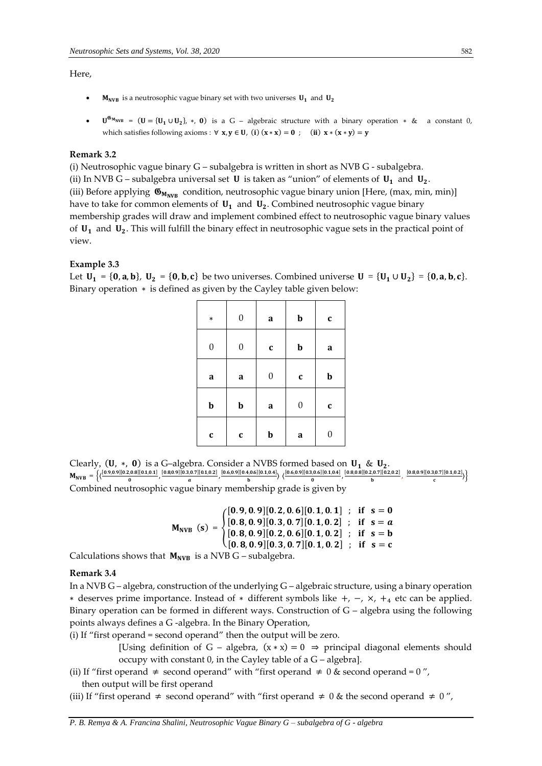## Here,

- $M_{NVB}$  is a neutrosophic vague binary set with two universes  $U_1$  and  $U_2$
- $U^{\mathfrak{G}_{M_{WVB}}} = (U = {U_1 \cup U_2}, *, 0)$  is a G algebraic structure with a binary operation  $*$  & a constant 0, which satisfies following axioms :  $\forall x, y \in U$ , (i)  $(x * x) = 0$ ; (ii)  $x * (x * y) = y$

## **Remark 3.2**

(i) Neutrosophic vague binary G – subalgebra is written in short as NVB G - subalgebra. (ii) In NVB G – subalgebra universal set **U** is taken as "union" of elements of  $U_1$  and  $U_2$ . (iii) Before applying  $\mathfrak{G}_{M_{NVB}}$  condition, neutrosophic vague binary union [Here, (max, min, min)] have to take for common elements of  $U_1$  and  $U_2$ . Combined neutrosophic vague binary membership grades will draw and implement combined effect to neutrosophic vague binary values of  $U_1$  and  $U_2$ . This will fulfill the binary effect in neutrosophic vague sets in the practical point of view.

#### **Example 3.3**

Let  $U_1 = \{0, a, b\}$ ,  $U_2 = \{0, b, c\}$  be two universes. Combined universe  $U = \{U_1 \cup U_2\} = \{0, a, b, c\}$ . Binary operation ∗ is defined as given by the Cayley table given below:

| $\ast$           | $\boldsymbol{0}$ | $\bf a$          | $\mathbf b$      | $\mathbf{c}$ |
|------------------|------------------|------------------|------------------|--------------|
| $\boldsymbol{0}$ | $\boldsymbol{0}$ | $\mathbf c$      | $\mathbf b$      | a            |
| $\mathbf a$      | $\mathbf a$      | $\boldsymbol{0}$ | $\mathbf{c}$     | $\mathbf b$  |
| $\mathbf b$      | $\mathbf b$      | a                | $\boldsymbol{0}$ | $\mathbf{C}$ |
| $\mathbf{c}$     | C                | $\mathbf b$      | a                | 0            |

Clearly,  $(U, *, 0)$  is a G–algebra. Consider a NVBS formed based on  $U_1$  &  $U_2$ .  $M_{\text{NVB}} = \left\{ \left( \frac{[0.9,0.9][0.2,0.8][0.1,0.1]}{0} \right) \right\}$  $\frac{[0.8][0.1,0.1]}{0}, \frac{[0.8,0.9][0.3,0.7][0.1,0.2]}{a}$  $\frac{[0.6,0.9][0.4,0.6][0.1,0.4]}{a}$ ,  $\frac{[0.6,0.9][0.4,0.6][0.1,0.4]}{b}$  $\frac{\left[0.6\right]\left[0.1,0.4\right]}{b}$   $\left\langle \frac{\left[0.6,0.9\right]\left[0.3,0.6\right]\left[0.1,0.4\right]}{0}$  $\frac{[0.8,0.6][0.1,0.4]}{0}$ ,  $\frac{[0.8,0.8][0.2,0.7][0.2,0.2]}{b}$  $\frac{[0.2,0.2]}{b}$ ,  $\frac{[0.8,0.9][0.3,0.7][0.1,0.2]}{c}$  $\frac{\partial}{\partial c}$  (0.1,0.2) Combined neutrosophic vague binary membership grade is given by

 $M_{\text{NVB}}(s) = \{$  $[0.9, 0.9][0.2, 0.6][0.1, 0.1]$ ; if  $s = 0$  $[0.8, 0.9][0.3, 0.7][0.1, 0.2]$ ; if  $s = a$  $[0.8, 0.9][0.2, 0.6][0.1, 0.2]$ ; if  $s = b$  $[0.8, 0.9][0.3, 0.7][0.1, 0.2]$ ; if  $s = c$ 

Calculations shows that  $M_{NVB}$  is a NVB G – subalgebra.

## **Remark 3.4**

In a NVB G – algebra, construction of the underlying G – algebraic structure, using a binary operation ∗ deserves prime importance. Instead of ∗ different symbols like +, −, ×, +<sup>4</sup> etc can be applied. Binary operation can be formed in different ways. Construction of  $G$  – algebra using the following points always defines a G -algebra. In the Binary Operation,

- (i) If "first operand = second operand" then the output will be zero.
	- [Using definition of G algebra,  $(x * x) = 0 \Rightarrow$  principal diagonal elements should occupy with constant 0, in the Cayley table of a G – algebra].
- (ii) If "first operand  $\neq$  second operand" with "first operand  $\neq$  0 & second operand = 0", then output will be first operand

(iii) If "first operand  $\neq$  second operand" with "first operand  $\neq$  0 & the second operand  $\neq$  0",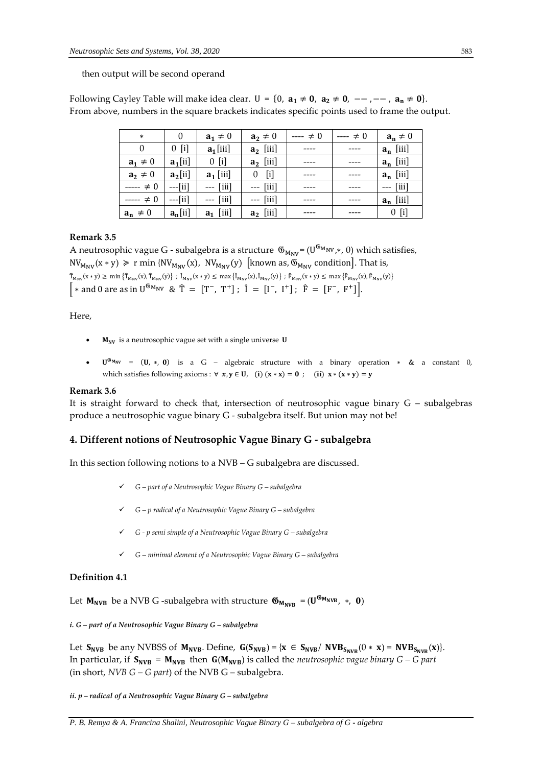then output will be second operand

Following Cayley Table will make idea clear.  $U = \{0, a_1 \neq 0, a_2 \neq 0, -,-,-,-, a_n \neq 0\}.$ From above, numbers in the square brackets indicates specific points used to frame the output.

| $\ast$       | 0          | $a_1 \neq 0$                       | $a_2 \neq 0$                       | $\neq 0$<br>---- | $--- 0$ | $a_n \neq 0$ |
|--------------|------------|------------------------------------|------------------------------------|------------------|---------|--------------|
|              | $0$ [i]    | $a_1$ [iii]                        | $a_2$ [iii]                        |                  |         | $a_n$ [iii]  |
| $a_1 \neq 0$ | $a_1$ [ii] | $0$ [i]                            | $a_2$ [iii]                        |                  |         | $a_n$ [iii]  |
| $a_2 \neq 0$ | $a_2$ [ii] | $a_1$ [iii]                        | $\lceil i \rceil$<br>0             |                  |         | $a_n$ [iii]  |
| $--- 2 = 0$  | $--[ii]$   | $---$ [iii]                        | $---$ [iii]                        |                  |         | $--$ [iii]   |
| $--- 2 = 0$  | $--[ii]$   | $\left[\text{iii}\right]$<br>$---$ | $\left[\text{iii}\right]$<br>$---$ |                  |         | $a_n$ [iii]  |
| $a_n \neq 0$ | $a_n[i]$   | $\lceil$ iii<br>a1                 | $a_2$ [iii]                        |                  |         | $0$ [i]      |

#### **Remark 3.5**

A neutrosophic vague G - subalgebra is a structure  $\mathfrak{G}_{M_{\text{NV}}}$ = (U $^{\mathfrak{G}_{M_{\text{NV}}}}$ , 0) which satisfies,  $NV_{M_{\text{NV}}}(x * y) \geq r \min \{NV_{M_{\text{NV}}}(x), NV_{M_{\text{NV}}}(y) \}$  [known as,  $\mathfrak{G}_{M_{\text{NV}}}$  condition]. That is,  $\widehat{T}_{M_{\text{NV}}}(x * y) \ge \min \left\{ \widehat{T}_{M_{\text{NV}}}(x), \widehat{T}_{M_{\text{NV}}}(y) \right\}$ ;  $\widehat{I}_{M_{\text{NV}}}(x * y) \le \max \left\{ \widehat{I}_{M_{\text{NV}}}(x), \widehat{I}_{M_{\text{NV}}}(y) \right\}$ ;  $\widehat{F}_{M_{\text{NV}}}(x * y) \le \max \left\{ \widehat{F}_{M_{\text{NV}}}(x), \widehat{F}_{M_{\text{NV}}}(y) \right\}$ | \* and 0 are as in  $U^{6}M_{NV}$  &  $\hat{T} = [T^-, T^+]$ ;  $\hat{I} = [I^-, I^+]$ ;  $\hat{F} = [F^-, F^+]$ .

Here,

- $M_{\text{NV}}$  is a neutrosophic vague set with a single universe U
- $U^{\mathfrak{G}_{M_{NV}}}$  =  $(U, *, 0)$  is a G algebraic structure with a binary operation  $*$  & a constant 0, which satisfies following axioms :  $\forall x, y \in U$ , (i)  $(x * x) = 0$ ; (ii)  $x * (x * y) = y$

#### **Remark 3.6**

It is straight forward to check that, intersection of neutrosophic vague binary G – subalgebras produce a neutrosophic vague binary G - subalgebra itself. But union may not be!

## **4. Different notions of Neutrosophic Vague Binary G - subalgebra**

In this section following notions to a NVB – G subalgebra are discussed.

- ✓ *G – part of a Neutrosophic Vague Binary G – subalgebra*
- ✓ *G – p radical of a Neutrosophic Vague Binary G – subalgebra*
- ✓ *G - p semi simple of a Neutrosophic Vague Binary G – subalgebra*
- ✓ *G – minimal element of a Neutrosophic Vague Binary G – subalgebra*

## **Definition 4.1**

Let  $M_{\text{NVB}}$  be a NVB G -subalgebra with structure  $\mathfrak{G}_{M_{\text{NVB}}} = (\mathbf{U}^{\mathfrak{G}_{M_{\text{NVB}}}}$  ,  $*$ ,  $\mathbf{0})$ 

*i. G – part of a Neutrosophic Vague Binary G – subalgebra*

Let  $S_{NVB}$  be any NVBSS of  $M_{NVB}$ . Define,  $G(S_{NVB}) = \{x \in S_{NVB}/\; NVB_{S_{NVB}}(0 * x) = NVB_{S_{NVB}}(x)\}.$ In particular, if  $S_{NVB} = M_{NVB}$  then  $G(M_{NVB})$  is called the *neutrosophic vague binary G – G part* (in short, *NVB G – G part*) of the NVB G – subalgebra.

*ii. p – radical of a Neutrosophic Vague Binary G – subalgebra*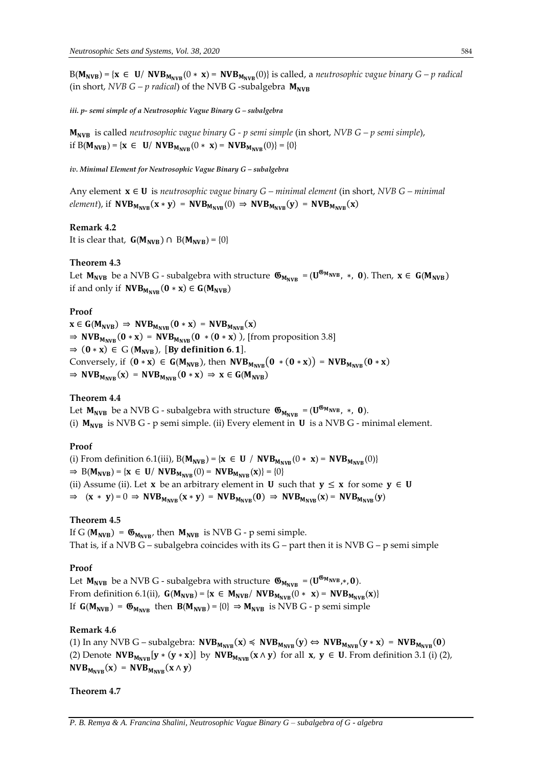$B(M_{NVB}) = {x \in U/NVB_{M_{NVR}}(0 * x) = NVB_{M_{NVR}}(0)}$  is called, a *neutrosophic vague binary G – p radical* (in short, *NVB G – p radical*) of the NVB G-subalgebra  $M_{NVR}$ 

*iii. p- semi simple of a Neutrosophic Vague Binary G – subalgebra* 

 is called *neutrosophic vague binary G - p semi simple* (in short, *NVB G – p semi simple*), if  $B(M_{NVB}) = \{ x \in U / NVB_{M_{NVR}}(0 * x) = NVB_{M_{NVR}}(0) \} = \{ 0 \}$ 

*iv. Minimal Element for Neutrosophic Vague Binary G - subalgebra* 

Any element ∈ is *neutrosophic vague binary G – minimal element* (in short, *NVB G – minimal element*), if  $NVB_{M_{NVR}}(x * y) = NVB_{M_{NVR}}(0) \Rightarrow NVB_{M_{NVR}}(y) = NVB_{M_{NVR}}(x)$ 

#### **Remark 4.2**

It is clear that,  $G(M_{NVB}) \cap B(M_{NVB}) = \{0\}$ 

## **Theorem 4.3**

Let  $M_{\text{NVB}}$  be a NVB G - subalgebra with structure  $\mathfrak{G}_{M_{\text{NVB}}} = (U^{\mathfrak{G}_{M_{\text{NVB}}}}$ ,  $*$ , 0). Then,  $x \in G(M_{\text{NVB}})$ if and only if  $NVB_{M_{NVR}}(0 * x) \in G(M_{NVB})$ 

#### **Proof**

 $x \in G(M_{NVB}) \Rightarrow NVB_{M_{NVR}}(0 * x) = NVB_{M_{NVR}}(x)$  $\Rightarrow NVB_{M_{NVB}}(0 * x) = NVB_{M_{NVB}}(0 * (0 * x))$ , [from proposition 3.8]  $\Rightarrow$  (0 \* x)  $\in$  G (M<sub>NVB</sub>), [By definition 6.1]. Conversely, if  $(0 * x) \in G(M_{NVB})$ , then  $NVB_{M_{NVR}}(0 * (0 * x)) = NVB_{M_{NVR}}(0 * x)$  $\Rightarrow$  NVB<sub>MNVB</sub>(x) = NVB<sub>MNVB</sub>(0 \* x)  $\Rightarrow$  x  $\in$  G(M<sub>NVB</sub>)

## **Theorem 4.4**

Let  $M_{\text{NVB}}$  be a NVB G - subalgebra with structure  $\mathfrak{G}_{M_{\text{NVB}}} = (U^{\mathfrak{G}_{M_{\text{NVB}}}}$ ,  $*,$  0). (i)  $M_{NVB}$  is NVB G - p semi simple. (ii) Every element in  $U$  is a NVB G - minimal element.

#### **Proof**

(i) From definition 6.1(iii),  $B(M_{NVB}) = \{x \in U \mid NVB_{M_{NVB}}(0 * x) = NVB_{M_{NVB}}(0)\}\$  $\Rightarrow B(M_{NVB}) = \{x \in U / NVB_{M_{NVR}}(0) = NVB_{M_{NVR}}(x)\} = \{0\}$ (ii) Assume (ii). Let **x** be an arbitrary element in **U** such that  $y \le x$  for some  $y \in U$  $\Rightarrow$   $(x * y) = 0 \Rightarrow NVB_{M_{NVB}}(x * y) = NVB_{M_{NVB}}(0) \Rightarrow NVB_{M_{NVB}}(x) = NVB_{M_{NVB}}(y)$ 

## **Theorem 4.5**

If G ( $M_{NVB}$ ) =  $\mathfrak{G}_{M_{NVB}}$ , then  $M_{NVB}$  is NVB G - p semi simple. That is, if a NVB G – subalgebra coincides with its G – part then it is NVB G – p semi simple

#### **Proof**

Let  $M_{\text{NVB}}$  be a NVB G - subalgebra with structure  $\mathfrak{G}_{M_{\text{NVB}}} = (\mathbf{U}^{\mathfrak{G}_{M_{\text{NVB}}}}, \mathbf{0}).$ From definition 6.1(ii),  $G(M_{NVB}) = \{ x \in M_{NVB}/\text{NVB}_{M_{NVR}}(0 * x) = \text{NVB}_{M_{NVR}}(x) \}$ If  $G(M_{NVB}) = \mathfrak{G}_{M_{NVB}}$  then  $B(M_{NVB}) = \{0\} \Rightarrow M_{NVB}$  is NVB G - p semi simple

#### **Remark 4.6**

(1) In any NVB G – subalgebra:  $NVB_{M_{NVB}}(x) \leq NVB_{M_{NVB}}(y) \Leftrightarrow NVB_{M_{NVB}}(y * x) = NVB_{M_{NVB}}(0)$ (2) Denote  $\text{NVB}_{M_{\text{NVR}}}$   $[y * (y * x)]$  by  $\text{NVB}_{M_{\text{NVR}}}$   $(x \wedge y)$  for all  $x, y \in U$ . From definition 3.1 (i) (2),  $NVB_{M_{NVB}}(x) = NVB_{M_{NVB}}(x \wedge y)$ 

#### **Theorem 4.7**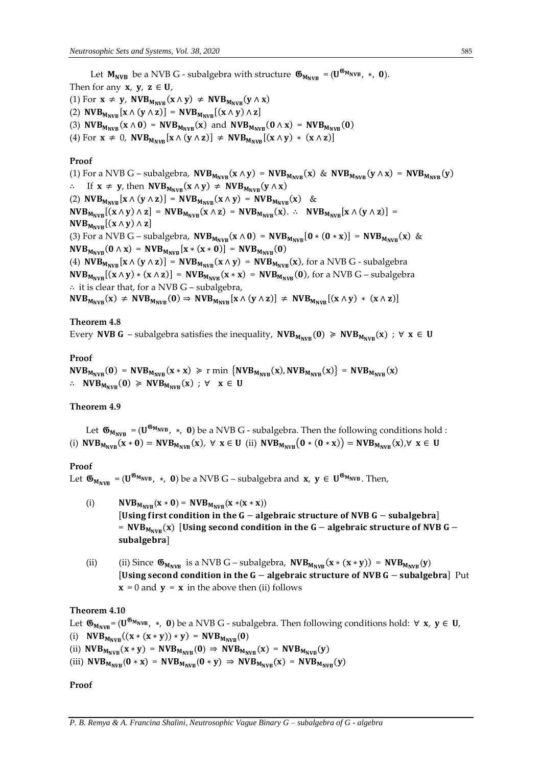Let  $M_{\text{NVB}}$  be a NVB G - subalgebra with structure  $\mathfrak{G}_{M_{\text{NVB}}} = (U^{\mathfrak{G}_{M_{\text{NVB}}}}$ ,  $*,$  0).

Then for any **x**, **y**, **z**  $\in$  **U**, (1) For  $x \neq y$ ,  $NVB_{M_{NVB}}(x \wedge y) \neq NVB_{M_{NVB}}(y \wedge x)$ (2)  $\text{NVB}_{M_{\text{NVB}}}[x \wedge (y \wedge z)] = \text{NVB}_{M_{\text{NVB}}}[(x \wedge y) \wedge z]$ (3)  $NVB_{M_{NVR}}(x \wedge 0) = NVB_{M_{NVR}}(x)$  and  $NVB_{M_{NVR}}(0 \wedge x) = NVB_{M_{NVR}}(0)$ (4) For  $\mathbf{x} \neq 0$ ,  $\mathbf{NVB}_{M_{\text{NVR}}}[\mathbf{x} \wedge (\mathbf{y} \wedge \mathbf{z})] \neq \mathbf{NVB}_{M_{\text{NVR}}}[(\mathbf{x} \wedge \mathbf{y}) \ast (\mathbf{x} \wedge \mathbf{z})]$ 

## **Proof**

(1) For a NVB G – subalgebra,  $NVB_{M_{NVB}}(x \wedge y) = NVB_{M_{NVB}}(x)$  &  $NVB_{M_{NVB}}(y \wedge x) = NVB_{M_{NVB}}(y)$ ∴ If  $x \neq y$ , then  $NVB_{M_{NVR}}(x \wedge y) \neq NVB_{M_{NVR}}(y \wedge x)$ (2)  $NVB_{M_{NVB}}[x \wedge (y \wedge z)] = NVB_{M_{NVB}}(x \wedge y) = NVB_{M_{NVB}}(x)$  &  $NVB_{M_{NVR}}[(x \wedge y) \wedge z] = NVB_{M_{NVR}}(x \wedge z) = NVB_{M_{NVR}}(x).$  ∴  $NVB_{M_{NVB}}[x \wedge (y \wedge z)] =$  $NVB_{M_{NVB}}[(x \wedge y) \wedge z]$ (3) For a NVB G – subalgebra,  $NVB_{M_{NVR}}(x \wedge 0) = NVB_{M_{NVR}}[0 * (0 * x)] = NVB_{M_{NVR}}(x)$  &  $NVB_{M_{NVB}}(0 \wedge x) = NVB_{M_{NVB}}[x * (x * 0)] = NVB_{M_{NVB}}(0)$ (4)  $NVB_{M_{NVB}}[x \wedge (y \wedge z)] = NVB_{M_{NVB}}(x \wedge y) = NVB_{M_{NVB}}(x)$ , for a NVB G - subalgebra  $NVB_{M_{NVR}}[(x \wedge y) * (x \wedge z)] = NVB_{M_{NVR}}(x * x) = NVB_{M_{NVR}}(0)$ , for a NVB G – subalgebra ∴ it is clear that, for a NVB G – subalgebra,  $NVB_{M_{NVR}}(x) \neq NVB_{M_{NVR}}(0) \Rightarrow NVB_{M_{NVR}}[x \wedge (y \wedge z)] \neq NVB_{M_{NVR}}[(x \wedge y) * (x \wedge z)]$ 

## **Theorem 4.8**

Every **NVB G** – subalgebra satisfies the inequality,  $NVB_{M_{NVR}}(0) \geq NVB_{M_{NVR}}(x)$ ;  $\forall x \in U$ 

# **Proof**

 $NVB_{M_{NVB}}(0) = NVB_{M_{NVB}}(x * x) \ge r \min \{NVB_{M_{NVB}}(x), NVB_{M_{NVB}}(x)\} = NVB_{M_{NVB}}(x)$ ∴  $NVB_{M_{NVB}}(0)$  ≽  $NVB_{M_{NVR}}(x)$ ; ∀  $x \in U$ 

## **Theorem 4.9**

Let  $\mathfrak{G}_{M_{NVB}} = (U^{\mathfrak{G}_{M_{NVB}}}, *$ , **0**) be a NVB G - subalgebra. Then the following conditions hold : (i)  $NVB_{M_{NVR}}(x*0) = NVB_{M_{NVR}}(x), \forall x \in U$  (ii)  $NVB_{M_{NVR}}(0*(0*x)) = NVB_{M_{NVR}}(x), \forall x \in U$ 

#### **Proof**

Let  $\mathfrak{G}_{M_{NVB}} = (U^{\mathfrak{G}_{M_{NVB}}}, *$ , 0) be a NVB G – subalgebra and  $x, y \in U^{\mathfrak{G}_{M_{NVB}}}$ . Then,

- (i)  $NVB_{M_{NVD}}(x * 0) = NVB_{M_{NVD}}(x * (x * x))$ [Using first condition in the  $G -$  algebraic structure of NVB  $G -$  subalgebra] =  $NVB_{M_{NVR}}(x)$  [Using second condition in the G – algebraic structure of NVB G – subalgebra]
- (ii) (ii) Since  $\mathfrak{G}_{M_{NVB}}$  is a NVB G subalgebra,  $NVB_{M_{NVB}}(x \ast (x \ast y)) = NVB_{M_{NVB}}(y)$ [Using second condition in the  $G -$  algebraic structure of NVB  $G -$  subalgebra] Put  $x = 0$  and  $y = x$  in the above then (ii) follows

#### **Theorem 4.10**

Let  $\mathfrak{G}_{M_{NVB}} = (U^{\mathfrak{G}_{M_{NVB}}}, *$ , 0) be a NVB G - subalgebra. Then following conditions hold: ∀ **x**, **y** ∈ **U**,

(i)  $NVB_{M_{NVR}}((x * (x * y)) * y) = NVB_{M_{NVR}}(0)$ 

(ii)  $NVB_{M_{NVB}}(x * y) = NVB_{M_{NVB}}(0) \Rightarrow NVB_{M_{NVB}}(x) = NVB_{M_{NVB}}(y)$ 

(iii)  $NVB_{M_{NVR}}(0 * x) = NVB_{M_{NVR}}(0 * y) \Rightarrow NVB_{M_{NVR}}(x) = NVB_{M_{NVR}}(y)$ 

**Proof**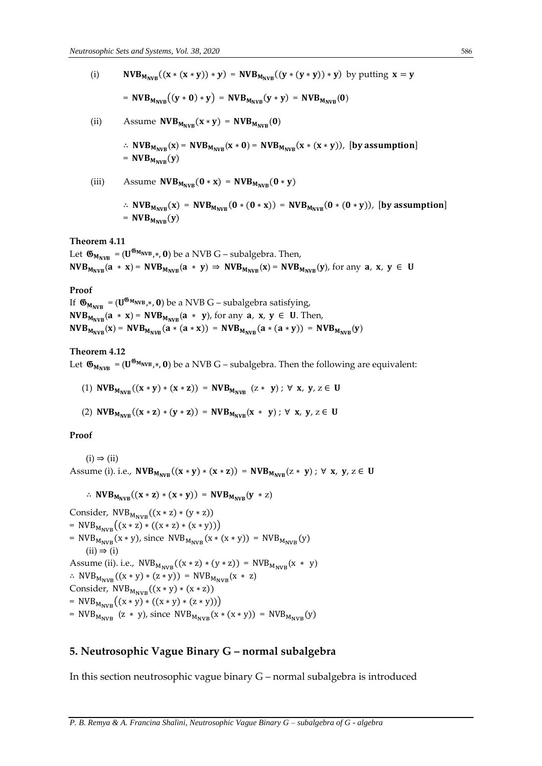(i)  $NVB_{M_{NVR}}((x * (x * y)) * y) = NVB_{M_{NVR}}((y * (y * y)) * y)$  by putting  $x = y$ =  $NVB_{M_{NVR}}((y * 0) * y) = NVB_{M_{NVR}}(y * y) = NVB_{M_{NVR}}(0)$ 

$$
f_{\rm{max}}(x)=\frac{1}{2}x
$$

(ii) Assume  $NVB_{M_{NVR}}(x * y) = NVB_{M_{NVR}}(0)$ 

$$
\therefore NVB_{M_{NVB}}(x) = NVB_{M_{NVB}}(x * 0) = NVB_{M_{NVB}}(x * (x * y)),
$$
 [by assumption] 
$$
= NVB_{M_{NVB}}(y)
$$

(iii) Assume  $NVB_{M_{NVB}}(0 * x) = NVB_{M_{NVB}}(0 * y)$ ∴  $NVB_{M_{NVR}}(x) = NVB_{M_{NVR}}(0*(0*x)) = NVB_{M_{NVB}}(0*(0*y)),$  [by assumption] =  $NVB_{M_{NVR}}(y)$ 

#### **Theorem 4.11**

Let  $\mathfrak{G}_{M_{\text{NVB}}} = (\mathbf{U}^{\mathfrak{G}_{M_{\text{NVB}}}}, \mathbf{0})$  be a NVB G – subalgebra. Then,  $NVB_{M_{NVB}}(a * x) = NVB_{M_{NVB}}(a * y) \Rightarrow NVB_{M_{NVB}}(x) = NVB_{M_{NVB}}(y)$ , for any  $a, x, y \in U$ 

#### **Proof**

If  $\mathfrak{G}_{M_{\text{NVB}}} = (\mathbf{U}^{\mathfrak{G}_{M_{\text{NVB}}}}, \mathbf{0})$  be a NVB G – subalgebra satisfying,  $NVB_{M_{NVB}}(a * x) = NVB_{M_{NVB}}(a * y)$ , for any  $a, x, y \in U$ . Then,  $NVB_{M_{NVR}}(x) = NVB_{M_{NVR}}(a * (a * x)) = NVB_{M_{NVR}}(a * (a * y)) = NVB_{M_{NVR}}(y)$ 

#### **Theorem 4.12**

Let  $\mathfrak{G}_{M_{NVB}} = (U^{\mathfrak{G}_{M_{NVB}}}, 0)$  be a NVB G – subalgebra. Then the following are equivalent:

- (1)  $NVB_{M_{NVR}}((x * y) * (x * z)) = NVB_{M_{NVR}}(z * y)$ ;  $\forall x, y, z \in U$
- (2)  $NVB_{M_{NVR}}((x * z) * (y * z)) = NVB_{M_{NVR}}(x * y)$ ;  $\forall x, y, z \in U$

#### **Proof**

 $(i) \Rightarrow (ii)$ Assume (i). i.e.,  $NVB_{M_{NVR}}((x * y) * (x * z)) = NVB_{M_{NVR}}(z * y)$ ;  $\forall x, y, z \in U$ 

$$
\therefore NVB_{M_{NVB}}((x * z) * (x * y)) = NVB_{M_{NVB}}(y * z)
$$

Consider,  $NVB_{M_{NVR}}((x * z) * (y * z))$  $= \text{NVB}_{M_{\text{NVR}}}((x * z) * ((x * z) * (x * y)))$ =  $NVB_{M_{NVB}}(x * y)$ , since  $NVB_{M_{NVB}}(x * (x * y)) = NVB_{M_{NVB}}(y)$  $(ii) \Rightarrow (i)$ Assume (ii). i.e.,  $NVB_{M_{NVB}}((x * z) * (y * z)) = NVB_{M_{NVB}}(x * y)$ ∴ NVB<sub>MNVB</sub>((x \* y) \* (z \* y)) = NVB<sub>MNVB</sub>(x \* z) Consider,  $NVB_{M_{NVB}}((x * y) * (x * z))$  $= \text{NVB}_{M_{\text{NVR}}}((x * y) * ((x * y) * (z * y)))$ =  $NVB_{M_{NVB}}$  (z \* y), since  $NVB_{M_{NVB}}(x \cdot (x \cdot y)) = NVB_{M_{NVR}}(y)$ 

# **5. Neutrosophic Vague Binary G – normal subalgebra**

In this section neutrosophic vague binary G – normal subalgebra is introduced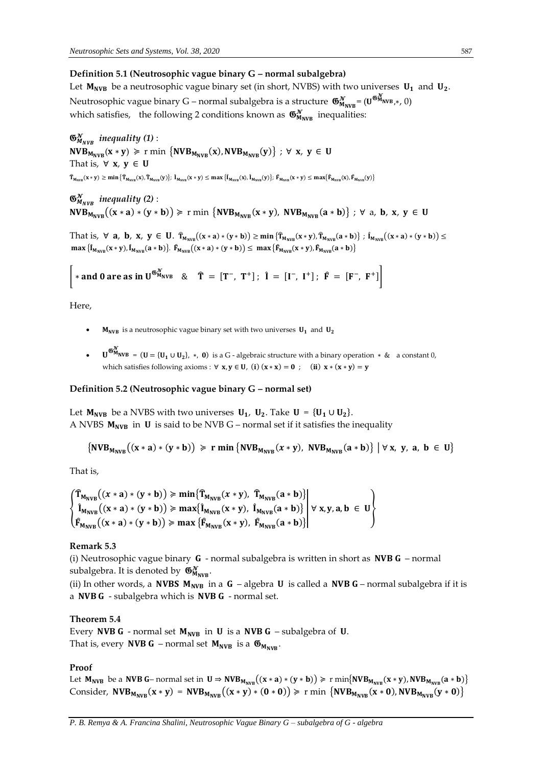# **Definition 5.1 (Neutrosophic vague binary G – normal subalgebra)**

Let  $M_{NVB}$  be a neutrosophic vague binary set (in short, NVBS) with two universes  $U_1$  and  $U_2$ . Neutrosophic vague binary G – normal subalgebra is a structure  $\, \mathfrak{G}^\mathcal{N}_{M_{\rm NVB}}\! = \! (\mathtt{U}^{\mathfrak{G}^\mathcal{N}_{M_{\rm NVB},*,}}\, 0) \,$ which satisfies, the following 2 conditions known as  $\mathfrak{G}_{M_{\text{NVB}}}^{\mathcal{N}}$  inequalities:

 $\mathfrak{G}^{\mathcal{N}}_{M_{NVB}}$  inequality (1) :  $\text{NVB}_{M_\text{NVB}}(x*y) \geq r \min\ \left\{\text{NVB}_{M_\text{NVB}}(x),\text{NVB}_{M_\text{NVB}}(y)\right\} \ ;\ \forall \ x,\ y \in \ U$ That is,  $\forall$  **x**,  $y \in U$  $\hat{\mathbf{T}}_{\mathbf{M}_{\text{NVB}}}(\mathbf{x} \times \mathbf{y}) \ge \min \{ \hat{\mathbf{T}}_{\mathbf{M}_{\text{NVB}}}(\mathbf{x}), \hat{\mathbf{T}}_{\mathbf{M}_{\text{NVB}}}(\mathbf{y}) \}$ ;  $\hat{\mathbf{l}}_{\mathbf{M}_{\text{NVB}}}(\mathbf{x} \times \mathbf{y}) \le \max \{ \hat{\mathbf{l}}_{\mathbf{M}_{\text{NVB}}}(\mathbf{x}), \hat{\mathbf{l}}_{\mathbf{M}_{\text{NVB}}}(\mathbf{y}) \}$ ;  $\hat{\mathbf{F}}_{\mathbf{M}_{\text{NVB}}}(\mathbf{x} \times$ 

 *inequality (2)* :  $NVB_{M_{NVR}}((x * a) * (y * b)) \ge r \min \{NVB_{M_{NVR}}(x * y), NVB_{M_{NVR}}(a * b)\}$ ;  $\forall$  a, b, x,  $y \in U$ 

That is,  $\forall$  **a**, **b**, **x**, **y**  $\in$  **U**.  $\hat{T}_{M_{NVB}}((x * a) * (y * b)) \ge \min \{ \hat{T}_{M_{NVB}}(x * y), \hat{T}_{M_{NVB}}(a * b) \}$ ;  $\hat{I}_{M_{NVB}}((x * a) * (y * b)) \le$  $max \{ \hat{I}_{M_{NVB}}(x * y), \hat{I}_{M_{NVB}}(a * b) \}.$   $\hat{F}_{M_{NVB}}((x * a) * (y * b)) \leq max \{ \hat{F}_{M_{NVB}}(x * y), \hat{F}_{M_{NVB}}(a * b) \}$ 

| \* and 0 are as in  $U^{\mathfrak{G}_{M_{NVB}}^{\chi}}$  &  $\hat{T} = [T^-, T^+]$ ;  $\hat{I} = [I^-, I^+]$ ;  $\hat{F} = [F^-, F^+]$ 

Here,

- **M<sub>NVB</sub>** is a neutrosophic vague binary set with two universes  $U_1$  and  $U_2$
- $\mathbf{U}^{\mathfrak{G}_{\mathbf{M}NNB}^{\mathcal{N}}} = (\mathbf{U} = {\mathbf{U}_1 \cup \mathbf{U}_2}$ , \*, 0) is a G algebraic structure with a binary operation \* & a constant 0, which satisfies following axioms :  $\forall x, y \in U$ , (i)  $(x * x) = 0$ ; (ii)  $x * (x * y) = y$

## **Definition 5.2 (Neutrosophic vague binary G – normal set)**

Let  $M_{\text{NVB}}$  be a NVBS with two universes  $U_1$ ,  $U_2$ . Take  $U = {U_1 \cup U_2}$ . A NVBS  $M_{NVB}$  in **U** is said to be NVB G – normal set if it satisfies the inequality

$$
\{NVB_{M_{NVB}}((x*a)*(y*b))\geqslant r\min\{NVB_{M_{NVB}}(x*y), NVB_{M_{NVB}}(a*b)\}\mid \forall x, y, a, b \in U\}
$$

That is,

$$
\begin{Bmatrix}\n\hat{T}_{M_{NVB}}((x * a) * (y * b)) \geq \min \{\hat{T}_{M_{NVB}}(x * y), \ \hat{T}_{M_{NVB}}(a * b)\} \\
\hat{I}_{M_{NVB}}((x * a) * (y * b)) \geq \max \{\hat{I}_{M_{NVB}}(x * y), \ \hat{I}_{M_{NVB}}(a * b)\} \\
\hat{F}_{M_{NVB}}((x * a) * (y * b)) \geq \max \{\hat{F}_{M_{NVB}}(x * y), \ \hat{F}_{M_{NVB}}(a * b)\}\n\end{Bmatrix} \forall x, y, a, b \in U
$$

#### **Remark 5.3**

(i) Neutrosophic vague binary  $G$  - normal subalgebra is written in short as **NVB G** – normal subalgebra. It is denoted by  $\mathfrak{G}_{M_{\text{NVB}}}^{\mathcal{N}}$ .

(ii) In other words, a **NVBS**  $M_{NVR}$  in a  $G$  – algebra **U** is called a **NVB**  $G$ – normal subalgebra if it is a NVB  $G$  - subalgebra which is NVB  $G$  - normal set.

## **Theorem 5.4**

Every NVB G - normal set  $M_{NVB}$  in U is a NVB G - subalgebra of U. That is, every **NVB G** – normal set  $M_{NVB}$  is a  $\mathfrak{G}_{M_{NVR}}$ .

#### **Proof**

Let  $M_{NVB}$  be a NVB G-normal set in  $U \Rightarrow NVB_{M_{NVB}}((x * a) * (y * b)) \ge r \min\{NVB_{M_{NVB}}(x * y), NVB_{M_{NVB}}(a * b)\}\$ Consider,  $NVB_{M_{NVR}}(x * y) = NVB_{M_{NVR}}((x * y) * (0 * 0)) \ge r \min \{NVB_{M_{NVR}}(x * 0), NVB_{M_{NVR}}(y * 0)\}\$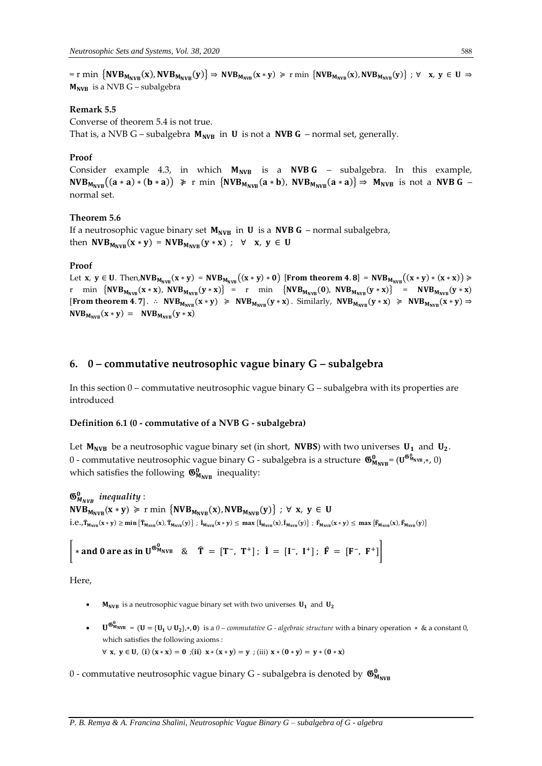$=$  r min  $\{NVB_{M_{NVB}}(x), NVB_{M_{NVB}}(y)\} \Rightarrow NVB_{M_{NVB}}(x * y) \ge r$  min  $\{NVB_{M_{NVB}}(x), NVB_{M_{NVB}}(y)\}$ ;  $\forall x, y \in U \Rightarrow$  $M_{NVR}$  is a NVB G – subalgebra

## **Remark 5.5**

Converse of theorem 5.4 is not true.

That is, a NVB G – subalgebra  $M_{NVB}$  in **U** is not a **NVB G** – normal set, generally.

## **Proof**

Consider example 4.3, in which  $M_{NVB}$  is a  $NVBG -$  subalgebra. In this example,  $NVB_{M_{NVB}}((a * a) * (b * a)) \ge r$  min  ${NVB_{M_{NVB}}(a * b)}$ ,  $NVB_{M_{NVB}}(a * a) \Rightarrow M_{NVB}$  is not a  $NVB$   $G$  normal set.

## **Theorem 5.6**

If a neutrosophic vague binary set  $M_{NVB}$  in **U** is a **NVB G** – normal subalgebra, then  $NVB_{M_{NVR}}(x * y) = NVB_{M_{NVR}}(y * x)$ ;  $\forall x, y \in U$ 

#### **Proof**

Let x,  $y \in U$ . Then,  $NVB_{M_{NVB}}(x * y) = NVB_{M_{NVB}}((x * y) * 0)$  [From theorem 4.8] =  $NVB_{M_{NVB}}((x * y) * (x * x)) \geq$ r min  $\{NVB_{M_{NVB}}(x*x)$ ,  $NVB_{M_{NVB}}(y*x)\}$  = r min  $\{NVB_{M_{NVB}}(0)$ ,  $NVB_{M_{NVB}}(y*x)\}$  =  $NVB_{M_{NVB}}(y*x)$ [From theorem 4.7]. ∴  $NVB_{M_{NVB}}(x * y) \geq NVB_{M_{NVB}}(y * x)$ . Similarly,  $NVB_{M_{NVB}}(y * x) \geq NVB_{M_{NVB}}(x * y) \Rightarrow$  $NVB_{M_{NVB}}(x * y) = NVB_{M_{NVB}}(y * x)$ 

# **6. 0 – commutative neutrosophic vague binary G – subalgebra**

In this section  $0$  – commutative neutrosophic vague binary  $G$  – subalgebra with its properties are introduced

#### **Definition 6.1 (0 - commutative of a NVB G - subalgebra)**

Let  $M_{NVB}$  be a neutrosophic vague binary set (in short, NVBS) with two universes  $U_1$  and  $U_2$ . 0 - commutative neutrosophic vague binary G - subalgebra is a structure  $\,\mathfrak{G}^0_{M_{\rm NVB}}\!=\!(\mathsf{U}^{\mathfrak{G}^0_{M_{\rm NVB}},k},0)\,$ which satisfies the following  $\mathfrak{G}_{M_{\text{NVB}}}^0$  inequality:

 $\mathfrak{G}^0_{M_{NVB}}$  inequality :  $NVB_{M_{NVB}}(x * y) \geq r \min \{NVB_{M_{NVB}}(x), NVB_{M_{NVB}}(y)\}$ ;  $\forall x, y \in U$  $i.e., \hat{T}_{M_{NVB}}(x * y) \geq min \{ \hat{T}_{M_{NVB}}(x), \hat{T}_{M_{NVB}}(y) \}$ ;  $\hat{I}_{M_{NVB}}(x * y) \leq max \{ \hat{I}_{M_{NVB}}(x), \hat{I}_{M_{NVB}}(y) \}$ ;  $\hat{F}_{M_{NVB}}(x * y) \leq max \{ \hat{F}_{M_{NVB}}(x), \hat{F}_{M_{NVB}}(y) \}$ 

\* and 0 are as in 
$$
U^{\mathfrak{G}_{M_{NVB}}^0}
$$
 &  $\hat{T} = [T^-, T^+]; \hat{I} = [I^-, I^+]; \hat{F} = [F^-, F^+]$ 

Here,

- **M<sub>NVB</sub>** is a neutrosophic vague binary set with two universes  $U_1$  and  $U_2$
- = ( = { ∪ },∗, ) is a *0 – commutative G - algebraic structure* with a binary operation ∗ & a constant 0, which satisfies the following axioms :  $∀ x, y ∈ U, (i) (x * x) = 0; (ii) x * (x * y) = y; (iii) x * (0 * y) = y * (0 * x)$
- $0$  commutative neutrosophic vague binary G subalgebra is denoted by  $\,\mathfrak{G}^0_{M_{\rm NVB}}\,$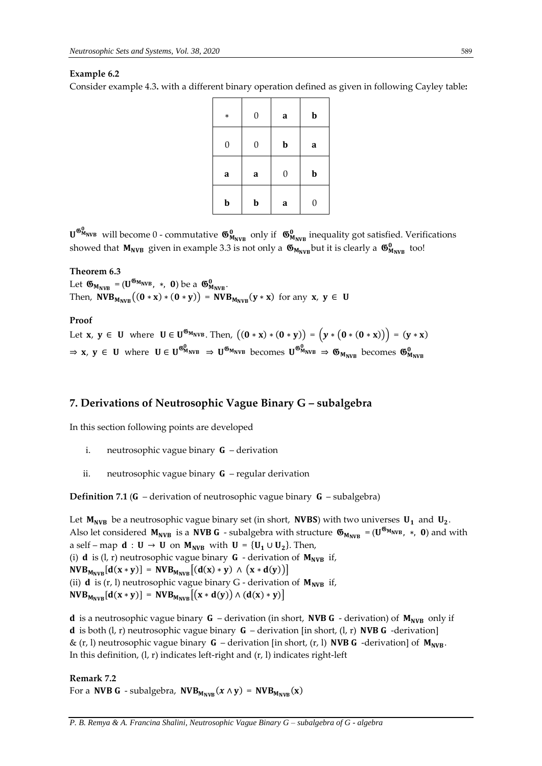# **Example 6.2**

Consider example 4.3**.** with a different binary operation defined as given in following Cayley table**:** 

| $\ast$           | $\boldsymbol{0}$ | a                | $\mathbf b$      |
|------------------|------------------|------------------|------------------|
| $\boldsymbol{0}$ | $\boldsymbol{0}$ | $\mathbf b$      | a                |
| a                | a                | $\boldsymbol{0}$ | $\mathbf b$      |
| b                | $\mathbf b$      | a                | $\boldsymbol{0}$ |

 $\bm{\mathsf{U}}^{\bm{\mathsf{G}}^0_{\mathsf{M}_{\mathsf{NVB}}}}$  will become  $0$  - commutative  $\bm{\mathsf{G}}^0_{\mathsf{M}_{\mathsf{NVB}}}$  only if  $\bm{\mathsf{G}}^0_{\mathsf{M}_{\mathsf{NVB}}}$  inequality got satisfied. Verifications showed that  $M_{NVB}$  given in example 3.3 is not only a  $\mathfrak{G}_{M_{NVB}}$  but it is clearly a  $\mathfrak{G}_{M_{NVB}}^0$  too!

## **Theorem 6.3**

Let  $\mathfrak{G}_{M_{NVB}} = (\mathbf{U}^{\mathfrak{G}_{M_{NVB}}}, *$ , **0**) be a  $\mathfrak{G}_{M_{NVB}}^0$ . Then,  $NVB_{M_{NVB}}((0 * x) * (0 * y)) = NVB_{M_{NVB}}(y * x)$  for any  $x, y \in U$ 

## **Proof**

Let **x**, **y**  $\in$  **U** where **U**  $\in$  **U**<sup>66</sup><sub>MNVB</sub>. Then,  $((0 * x) * (0 * y)) = (y * (0 * (0 * x))) = (y * x)$  $\Rightarrow$  x, y  $\in$  U where  $U \in U^{\mathfrak{G}_{M_{NVB}}} \Rightarrow U^{\mathfrak{G}_{M_{NVB}}}$  becomes  $U^{\mathfrak{G}_{M_{NVB}}}$   $\Rightarrow$   $\mathfrak{G}_{M_{NVB}}$  becomes  $\mathfrak{G}_{M_{NVB}}^0$ 

# **7. Derivations of Neutrosophic Vague Binary G – subalgebra**

In this section following points are developed

- i. neutrosophic vague binary  $G$  derivation
- ii. neutrosophic vague binary  $G$  regular derivation

**Definition 7.1 (G** – derivation of neutrosophic vague binary  $G$  – subalgebra)

Let  $M_{NVB}$  be a neutrosophic vague binary set (in short, **NVBS**) with two universes  $U_1$  and  $U_2$ . Also let considered  $M_{NVB}$  is a NVB G - subalgebra with structure  $\mathfrak{G}_{M_{NVB}} = (U^{\mathfrak{G}_{M_{NVB}}}$ ,  $*$ , 0) and with a self – map  $\mathbf{d}: \mathbf{U} \to \mathbf{U}$  on  $\mathbf{M}_{\text{NVB}}$  with  $\mathbf{U} = {\{U_1 \cup U_2\}}$ . Then, (i)  $d$  is (l, r) neutrosophic vague binary  $G$  - derivation of  $M_{NVB}$  if,  $NVB_{M_{NVR}}[d(x * y)] = NVB_{M_{NVR}}[(d(x) * y) \wedge (x * d(y))]$ (ii) **d** is (r, l) neutrosophic vague binary G - derivation of  $M_{NVB}$  if,  $NVB_{M_{NVB}}[d(x * y)] = NVB_{M_{NVB}}[(x * d(y)) \wedge (d(x) * y)]$ 

**d** is a neutrosophic vague binary **G** – derivation (in short, **NVB G** - derivation) of  $M_{NVB}$  only if **d** is both (l, r) neutrosophic vague binary  $G$  – derivation [in short, (l, r) **NVB G** -derivation] &  $(r, l)$  neutrosophic vague binary **G** – derivation [in short,  $(r, l)$  **NVB G** -derivation] of  $M_{NVR}$ . In this definition, (l, r) indicates left-right and (r, l) indicates right-left

**Remark 7.2** For a NVB G - subalgebra,  $NVB_{M_{NVR}}(x \wedge y) = NVB_{M_{NVR}}(x)$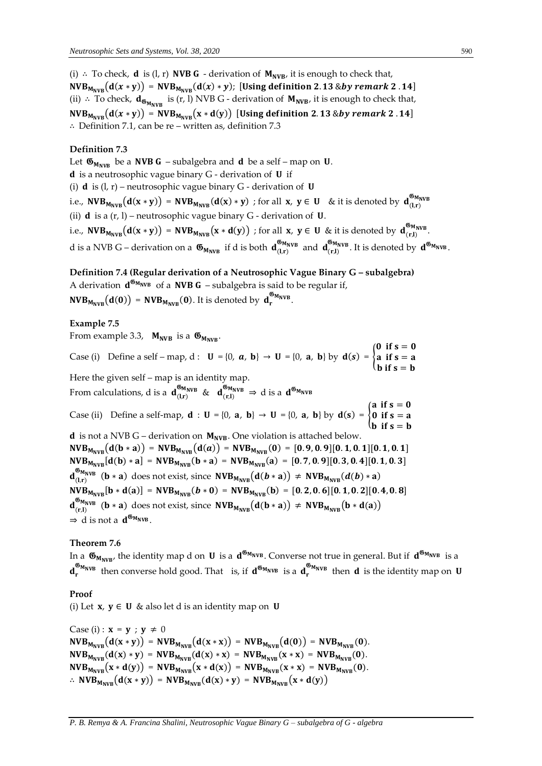(i) ∴ To check, **d** is (l, r) **NVB G** - derivation of  $M_{NVB}$ , it is enough to check that,  $NVB_{M_{NVB}}(d(x * y)) = NVB_{M_{NVB}}(d(x) * y);$  [Using definition 2.13 &by remark 2.14] (ii) ∴ To check,  $\mathbf{d}_{\mathfrak{G}_{\mathbf{M_{NVB}}}}$  is (r, l) NVB G - derivation of  $\mathbf{M_{NVB}}$ , it is enough to check that,  $NVB_{M_{NVR}}(d(x * y)) = NVB_{M_{NVR}}(x * d(y))$  [Using definition 2.13 &by remark 2.14] ∴ Definition 7.1, can be re – written as, definition 7.3

# **Definition 7.3**

Let  $\mathfrak{G}_{M_{NVR}}$  be a NVB G – subalgebra and d be a self – map on U.  $d$  is a neutrosophic vague binary  $G$  - derivation of  $U$  if (i) **d** is  $(l, r)$  – neutrosophic vague binary G - derivation of **U** i.e.,  $\mathsf{NVB}_{\mathsf{M}_{\mathsf{NVB}}}\big(\mathbf{d}(\mathbf{x}*\mathbf{y})\big) = \mathsf{NVB}_{\mathsf{M}_{\mathsf{NVB}}}\big(\mathbf{d}(\mathbf{x})*\mathbf{y})$  ; for all  $\mathbf{x},\ \mathbf{y}\in\mathbf{U}$  & it is denoted by  $\mathbf{d}_{(\mathsf{l},\mathsf{r})}^{\mathfrak{G}_{\mathsf{M}_{\mathsf{NVB}}}}$ (ii) **d** is a  $(r, l)$  – neutrosophic vague binary  $G$  - derivation of **U**. i.e.,  $\text{NVB}_{M_{\text{NVB}}}(d(x * y)) = \text{NVB}_{M_{\text{NVB}}}(x * d(y))$  ; for all  $x, y \in U$  & it is denoted by  $d_{(r,l)}^{\mathfrak{G}_{M_{\text{NVB}}}}$ . d is a NVB G – derivation on a  $\mathfrak{G}_{M_{NVB}}$  if d is both  $d_{(l,r)}^{\mathfrak{G}_{M_{NVB}}}$  and  $d_{(r,l)}^{\mathfrak{G}_{M_{NVB}}}$ . It is denoted by  $d^{\mathfrak{G}_{M_{NVB}}}$ .

**Definition 7.4 (Regular derivation of a Neutrosophic Vague Binary G – subalgebra)** 

A derivation  $d^{\mathfrak{G}_{M_{NVB}}}$  of a NVB G – subalgebra is said to be regular if,  $NVB_{M_{NVB}}(d(0)) = NVB_{M_{NVB}}(0)$ . It is denoted by  $d_r^{\mathfrak{G}_{M_{NVB}}}.$ 

## **Example 7.5**

From example 3.3,  $M_{NVB}$  is a  $\mathfrak{G}_{M_{NVB}}$ .

Case (i) Define a self – map, d :  $\mathbf{U} = \{0, \mathbf{a}, \mathbf{b}\} \rightarrow \mathbf{U} = \{0, \mathbf{a}, \mathbf{b}\}$  by  $\mathbf{d}(s) = \{$ 0 if  $s=0$ a if  $s = a$ **b** if  $s = b$ Here the given self – map is an identity map. From calculations, d is a  $d_{(l,r)}^{66M_{\text{NVB}}}$  &  $d_{(r,l)}^{66M_{\text{NVB}}} \Rightarrow$  d is a  $d_{6M_{\text{NVB}}}$ Case (ii) Define a self-map,  $\mathbf{d}$  :  $\mathbf{U} = \{0, \mathbf{a}, \mathbf{b}\} \rightarrow \mathbf{U} = \{0, \mathbf{a}, \mathbf{b}\}$  by  $\mathbf{d}(s) = \{$ a if  $s=0$ 0 if  $s = a$  $\mathbf b$  if  $\mathbf s=\mathbf b$ **d** is not a NVB G – derivation on  $M_{NVR}$ . One violation is attached below.  $NVB_{M_{NVB}}(d(b*a)) = NVB_{M_{NVB}}(d(a)) = NVB_{M_{NVB}}(0) = [0.9, 0.9][0.1, 0.1][0.1, 0.1]$  $NVB_{M_{NVB}}[d(b) * a] = NVB_{M_{NVB}}(b * a) = NVB_{M_{NVB}}(a) = [0.7, 0.9][0.3, 0.4][0.1, 0.3]$  $d_{(1,r)}^{\mathfrak{G}_{M_{NVB}}}$  (b  $*$  a) does not exist, since  $NVB_{M_{NVB}}(d(b*a)) \neq NVB_{M_{NVB}}(d(b)*a)$  $NVB_{M_{NVB}}[b * d(a)] = NVB_{M_{NVB}}(b * 0) = NVB_{M_{NVB}}(b) = [0.2, 0.6][0.1, 0.2][0.4, 0.8]$  $d_{(r,l)}^{\mathfrak{G}_{M_{NVB}}}$  (**b** \* **a**) does not exist, since  $NVB_{M_{NVB}}(d(b*a)) \neq NVB_{M_{NVB}}(b*d(a))$  $\Rightarrow$  d is not a  $d^{\mathfrak{G}_{M_{NVB}}}.$ 

## **Theorem 7.6**

In a  $\mathfrak{G}_{M_{NVB'}}$  the identity map d on  $U$  is a  $d^{\mathfrak{G}_{M_{NVB}}}$ . Converse not true in general. But if  $d^{\mathfrak{G}_{M_{NVB}}}$  is a  $d_r^{\mathfrak{G}_{M_NVB}}$  then converse hold good. That is, if  $d^{\mathfrak{G}_{M_NVB}}$  is a  $d_r^{\mathfrak{G}_{M_NVB}}$  then  $d$  is the identity map on  $U$ 

**Proof**

(i) Let  $x, y \in U$  & also let d is an identity map on U

Case (i) :  $\mathbf{x} = \mathbf{y}$  ;  $\mathbf{y} \neq 0$  $NVB_{M_{NVR}}(d(x * y)) = NVB_{M_{NVR}}(d(x * x)) = NVB_{M_{NVR}}(d(0)) = NVB_{M_{NVR}}(0).$  $NVB_{M_{NVR}}(d(x) * y) = NVB_{M_{NVR}}(d(x) * x) = NVB_{M_{NVR}}(x * x) = NVB_{M_{NVR}}(0).$  $NVB_{M_{NVR}}(x*d(y)) = NVB_{M_{NVR}}(x*d(x)) = NVB_{M_{NVR}}(x*x) = NVB_{M_{NVR}}(0).$ ∴  $NVB_{M_{NVR}}(d(x * y)) = NVB_{M_{NVR}}(d(x) * y) = NVB_{M_{NVR}}(x * d(y))$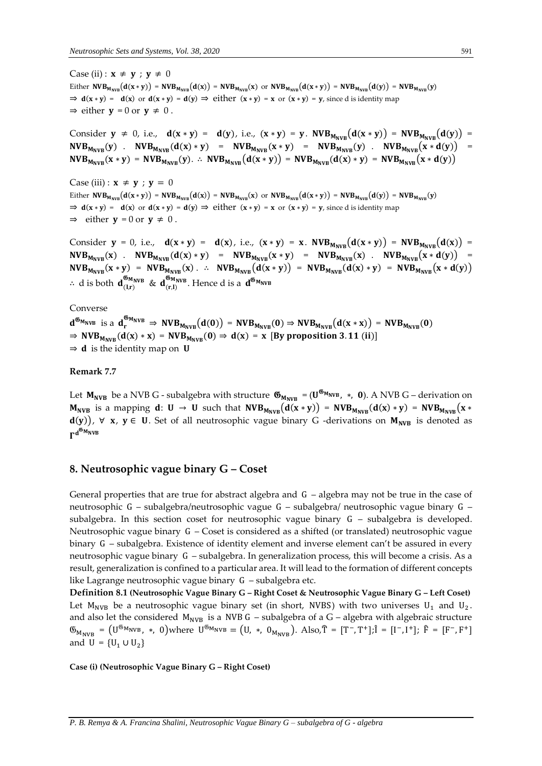Case (ii) :  $\mathbf{x} \neq \mathbf{y}$  ;  $\mathbf{y} \neq 0$ Either  $NVB_{M_{NVB}}(d(x * y)) = NVB_{M_{NVB}}(d(x)) = NVB_{M_{NVB}}(x)$  or  $NVB_{M_{NVB}}(d(x * y)) = NVB_{M_{NVB}}(d(y)) = NVB_{M_{NVB}}(y)$  $\Rightarrow$   $d(x * y) = d(x)$  or  $d(x * y) = d(y) \Rightarrow$  either  $(x * y) = x$  or  $(x * y) = y$ , since d is identity map  $\Rightarrow$  either  $y = 0$  or  $y \neq 0$ .

Consider  $y \neq 0$ , i.e.,  $d(x * y) = d(y)$ , i.e.,  $(x * y) = y$ .  $NVB_{M_{NVR}}(d(x * y)) = NVB_{M_{NVR}}(d(y)) =$  $NVB_{M_{NVR}}(y)$  .  $NVB_{M_{NVR}}(d(x)*y) = NVB_{M_{NVR}}(x*y) = NVB_{M_{NVR}}(y)$  .  $NVB_{M_{NVR}}(x*d(y)) =$  $NVB_{M_{NVR}}(x * y) = NVB_{M_{NVR}}(y)$ . ∴  $NVB_{M_{NVR}}(d(x * y)) = NVB_{M_{NVR}}(d(x) * y) = NVB_{M_{NVR}}(x * d(y))$ 

Case (iii) :  $\mathbf{x} \neq \mathbf{y}$  ;  $\mathbf{y} = 0$ Either  $NVB_{M_{NVB}}(d(x * y)) = NVB_{M_{NVB}}(d(x)) = NVB_{M_{NVB}}(x)$  or  $NVB_{M_{NVB}}(d(x * y)) = NVB_{M_{NVB}}(d(y)) = NVB_{M_{NVB}}(y)$  $\Rightarrow$   $d(x * y) = d(x)$  or  $d(x * y) = d(y) \Rightarrow$  either  $(x * y) = x$  or  $(x * y) = y$ , since d is identity map  $\Rightarrow$  either  $y = 0$  or  $y \neq 0$ .

Consider  $y = 0$ , i.e.,  $d(x * y) = d(x)$ , i.e.,  $(x * y) = x$ .  $NVB_{M_{NVR}}(d(x * y)) = NVB_{M_{NVR}}(d(x)) =$  $NVB_{M_{NVR}}(x)$  .  $NVB_{M_{NVR}}(d(x)*y) = NVB_{M_{NVR}}(x*y) = NVB_{M_{NVR}}(x)$  .  $NVB_{M_{NVR}}(x*d(y)) =$  $NVB_{M_{NVB}}(x * y) = NVB_{M_{NVB}}(x)$ . ∴  $NVB_{M_{NVB}}(d(x * y)) = NVB_{M_{NVB}}(d(x) * y) = NVB_{M_{NVB}}(x * d(y))$ ∴ d is both  $d^{\mathfrak{G}_{M_{NVB}}}_{(l,r)}$  &  $d^{\mathfrak{G}_{M_{NVB}}}_{(r,l)}$ . Hence d is a  $d^{\mathfrak{G}_{M_{NVB}}}$ 

Converse

 $d^{\mathfrak{G}_{M_{NVB}}}$  is a  $d_r^{\mathfrak{G}_{M_{NVB}}}$   $\Rightarrow$   $NVB_{M_{NVB}}(d(0))$  =  $NVB_{M_{NVB}}(0)$   $\Rightarrow NVB_{M_{NVB}}(d(x * x))$  =  $NVB_{M_{NVB}}(0)$  $\Rightarrow$  NVB<sub>MNVR</sub>(d(x) \* x) = NVB<sub>MNVR</sub>(0)  $\Rightarrow$  d(x) = x [By proposition 3.11 (ii)]  $\Rightarrow$  **d** is the identity map on **U** 

**Remark 7.7** 

Let  $M_{NVB}$  be a NVB G - subalgebra with structure  $\mathfrak{G}_{M_{NVB}} = (U^{\mathfrak{G}_{M_{NVB}}}$ , \*, 0). A NVB G – derivation on  $M_{NVB}$  is a mapping  $d: U \rightarrow U$  such that  $NVB_{M_{NVB}}(d(x * y)) = NVB_{M_{NVB}}(d(x) * y) = NVB_{M_{NVB}}(x * y)$  $d(y)$ ,  $\forall$  x,  $y \in U$ . Set of all neutrosophic vague binary G -derivations on  $M_{NVB}$  is denoted as  $\Gamma^{\rm d}^{\mathfrak{G}_{\rm M}}$ nvb

## **8. Neutrosophic vague binary G – Coset**

General properties that are true for abstract algebra and G – algebra may not be true in the case of neutrosophic G – subalgebra/neutrosophic vague G – subalgebra/ neutrosophic vague binary G – subalgebra. In this section coset for neutrosophic vague binary G – subalgebra is developed. Neutrosophic vague binary G – Coset is considered as a shifted (or translated) neutrosophic vague binary G – subalgebra. Existence of identity element and inverse element can't be assured in every neutrosophic vague binary G – subalgebra. In generalization process, this will become a crisis. As a result, generalization is confined to a particular area. It will lead to the formation of different concepts like Lagrange neutrosophic vague binary G – subalgebra etc.

**Definition 8.1 (Neutrosophic Vague Binary G – Right Coset & Neutrosophic Vague Binary G – Left Coset)**  Let  $M_{\text{NVB}}$  be a neutrosophic vague binary set (in short, NVBS) with two universes  $U_1$  and  $U_2$ . and also let the considered  $M_{NVB}$  is a NVB G – subalgebra of a G – algebra with algebraic structure  $\mathfrak{G}_{M_{\text{NVB}}} = (\mathbf{U}^{\mathfrak{G}_{\text{M}_{\text{NVB}}}}$ , \*, 0)where  $\mathbf{U}^{\mathfrak{G}_{\text{M}_{\text{NVB}}}} = (\mathbf{U}, *, 0_{M_{\text{NVB}}})$ . Also, $\mathbf{\hat{T}} = [\mathbf{T}^-, \mathbf{T}^+]; \mathbf{\hat{i}} = [\mathbf{I}^-, \mathbf{I}^+]; \ \mathbf{\hat{F}} = [\mathbf{F}^-, \mathbf{F}^+]$ and  $U = {U_1 \cup U_2}$ 

**Case (i) (Neutrosophic Vague Binary G – Right Coset)**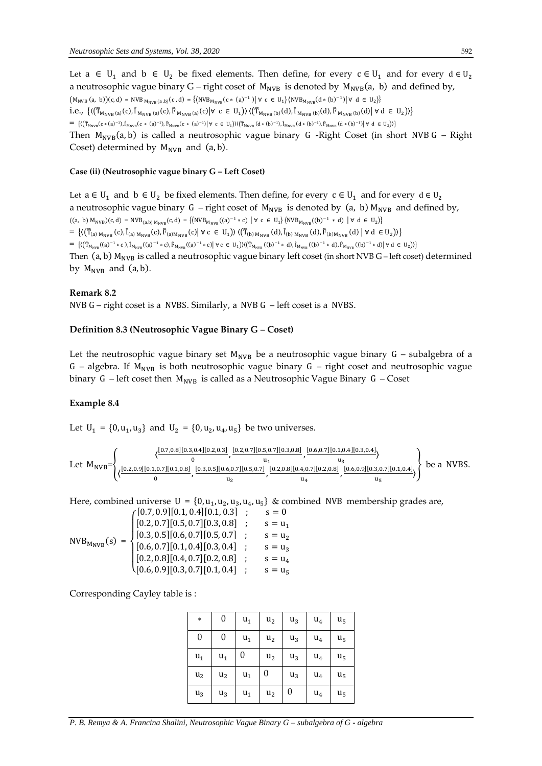Let a ∈ U<sub>1</sub> and b ∈ U<sub>2</sub> be fixed elements. Then define, for every  $c \in U_1$  and for every  $d \in U_2$ a neutrosophic vague binary G – right coset of  $M_{NVB}$  is denoted by  $M_{NVB}(a, b)$  and defined by,  $(M_{NVB}(a, b))(c, d) = NVB_{M_{NVB}(a, b)}(c, d) = \{(NVB_{M_{NVB}}(c * (a)^{-1}) | \forall c \in U_1 \} \langle NVB_{M_{NVB}}(d * (b)^{-1}) | \forall d \in U_2 \}$ i.e., { $\{\langle (\hat{T}_{M_{NVB}(a)}(c), \hat{I}_{M_{NVB}(a)}(c), \hat{F}_{M_{NVB}(a)}(c) | \forall c \in U_1 \rangle) \langle (\hat{T}_{M_{NVB}(b)}(d), \hat{I}_{M_{NVB}(b)}(d), \hat{F}_{M_{NVB}(b)}(d) | \forall d \in U_2 \rangle) \}$  $=\ \left\{ (\left(\widehat{T}_{M_{\text{NVB}}}(c*(a)^{-1}),\widehat{I}_{M_{\text{NVB}}}(c*(a)^{-1}),\widehat{F}_{M_{\text{NVB}}}(c*(a)^{-1})\big| \, \forall\ c\in\mathbf{U}_1\right) \rangle (\left(\widehat{T}_{M_{\text{NVB}}}(d*(b)^{-1}),\widehat{I}_{M_{\text{NVB}}}(d*(b)^{-1}),\widehat{F}_{M_{\text{NVB}}}(d*(b)^{-1})\big| \, \forall\ d\in\mathbf{U}_2\right) \rangle \right\}$ Then  $M_{NVB}(a, b)$  is called a neutrosophic vague binary G -Right Coset (in short NVB G – Right Coset) determined by  $M_{NVB}$  and  $(a, b)$ .

#### **Case (ii) (Neutrosophic vague binary G – Left Coset)**

Let  $a \in U_1$  and  $b \in U_2$  be fixed elements. Then define, for every  $c \in U_1$  and for every  $d \in U_2$ a neutrosophic vague binary  $G$  – right coset of  $M_{NVB}$  is denoted by (a, b)  $M_{NVB}$  and defined by,  $((a, b) M_{NVB})(c, d) = NVB_{(a,b) M_{NVB}}(c, d) = \{ (NVB_{M_{NVB}}((a)^{-1} * c) | \forall c \in U_1 \} \langle NVB_{M_{NVB}}((b)^{-1} * d) | \forall d \in U_2 \}$  $=\, \left\{\left(\left(\widehat{T}_{(a)\,M_{\text{NVB}}}\left(c\right),\widehat{I}_{(a)\,M_{\text{NVB}}}\left(c\right),\widehat{F}_{(a)M_{\text{NVB}}}\left(c\right)\right|\,\forall\; c\; \in\; \mathsf{U}_{1}\right)\right\}\, \left\langle\left(\widehat{T}_{(b)\,M_{\text{NVB}}}\left(d\right),\widehat{I}_{(b)\,M_{\text{NVB}}}\left(d\right),\widehat{F}_{(b)M_{\text{NVB}}}\left(d\right)\right.\right. \left|\;\forall\; d\; \in \mathsf{U}_{2}\right)\right\rangle\right\}$  $=\; \big\{ \big\langle \big( \widehat{T}_{M_{\text{NVB}}}(a)^{-1} * \, c \big), \widehat{I}_{M_{\text{NVB}}}(a)^{-1} * \, c \big), \widehat{F}_{M_{\text{NVB}}}(a)^{-1} * \, c \big) \big| \; \forall \; c \; \in \; U_1 \big\rangle \big\rangle \big\langle \big( \widehat{T}_{M_{\text{NVB}}}(b)^{-1} * \, d \big), \widehat{I}_{M_{\text{NVB}}}(b)^{-1} * \, d \big), \widehat{F}_{M_{\text{NVB}}}(b)^{-1} * \, d \big\rangle \big\vert \; \forall \; d \$ Then (a, b)  $M_{NVB}$  is called a neutrosophic vague binary left coset (in short NVB G – left coset) determined by  $M_{\text{NVB}}$  and  $(a, b)$ .

#### **Remark 8.2**

NVB G – right coset is a NVBS. Similarly, a NVB G – left coset is a NVBS.

#### **Definition 8.3 (Neutrosophic Vague Binary G – Coset)**

Let the neutrosophic vague binary set  $M_{NVB}$  be a neutrosophic vague binary G – subalgebra of a G – algebra. If  $M_{NVB}$  is both neutrosophic vague binary G – right coset and neutrosophic vague binary G – left coset then  $M_{NVB}$  is called as a Neutrosophic Vague Binary G – Coset

## **Example 8.4**

Let  $U_1 = \{0, u_1, u_3\}$  and  $U_2 = \{0, u_2, u_4, u_5\}$  be two universes.

$$
\text{Let } M_{\text{NVB}} = \left\{ \underbrace{\langle \frac{[0.7,0.8][0.3,0.4][0.2,0.3]}{0}, \frac{[0.2,0.7][0.5,0.7][0.5,0.7][0.3,0.8]}{u_1}, \frac{[0.6,0.7][0.1,0.4][0.3,0.4]}{u_3},}_{u_2}, \frac{[0.8,0.5][0.6,0.7][0.5,0.7]}{u_2}, \frac{[0.2,0.8][0.4,0.7][0.2,0.8]}{u_4}, \frac{[0.6,0.9][0.3,0.7][0.1,0.4]}{u_5} \right\} \text{ be a NVBS.}
$$

Here, combined universe  $U = \{0, u_1, u_2, u_3, u_4, u_5\}$  & combined NVB membership grades are,

$$
NVB_{M_{NVB}}(s) = \begin{cases} [0.7, 0.9][0.1, 0.4][0.1, 0.3] & ; & s = 0 \\ [0.2, 0.7][0.5, 0.7][0.3, 0.8] & ; & s = u_1 \\ [0.3, 0.5][0.6, 0.7][0.5, 0.7] & ; & s = u_2 \\ [0.6, 0.7][0.1, 0.4][0.3, 0.4] & ; & s = u_3 \\ [0.2, 0.8][0.4, 0.7][0.2, 0.8] & ; & s = u_4 \\ [0.6, 0.9][0.3, 0.7][0.1, 0.4] & ; & s = u_5 \end{cases}
$$

Corresponding Cayley table is :

| $\ast$           | 0                | $u_1$ | u <sub>2</sub> | $u_3$ | $u_4$ | u <sub>5</sub> |
|------------------|------------------|-------|----------------|-------|-------|----------------|
| $\boldsymbol{0}$ | $\boldsymbol{0}$ | $u_1$ | $u_2$          | $u_3$ | $u_4$ | u <sub>5</sub> |
| $u_1$            | $u_1$            | 0     | u <sub>2</sub> | $u_3$ | $u_4$ | u <sub>5</sub> |
| u <sub>2</sub>   | u <sub>2</sub>   | $u_1$ | 0              | $u_3$ | $u_4$ | u <sub>5</sub> |
| $u_3$            | $u_3$            | $u_1$ | $u_2$          | 0     | $u_4$ | u <sub>5</sub> |

*P. B. Remya & A. Francina Shalini, Neutrosophic Vague Binary G – subalgebra of G - algebra*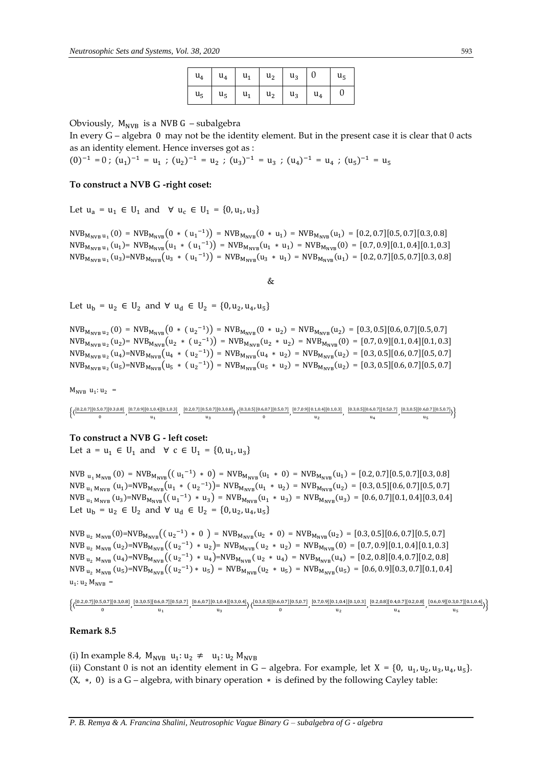| $u_4$   $u_4$   $u_1$   $u_2$   $u_3$   0 |  |  | u <sub>5</sub> |
|-------------------------------------------|--|--|----------------|
| $u_5$ $u_5$ $u_1$ $u_2$ $u_3$ $u_4$       |  |  |                |

Obviously,  $M_{NVR}$  is a NVB G – subalgebra

In every G – algebra 0 may not be the identity element. But in the present case it is clear that 0 acts as an identity element. Hence inverses got as :

 $(0)^{-1} = 0$ ;  $(u_1)^{-1} = u_1$ ;  $(u_2)^{-1} = u_2$ ;  $(u_3)^{-1} = u_3$ ;  $(u_4)^{-1} = u_4$ ;  $(u_5)^{-1} = u_5$ 

## **To construct a NVB G -right coset:**

Let  $u_a = u_1 \in U_1$  and  $\forall u_c \in U_1 = \{0, u_1, u_3\}$ 

 $NVB_{M_{NVB} u_1}(0) = NVB_{M_{NVB}}(0 * (u_1^{-1})) = NVB_{M_{NVB}}(0 * u_1) = NVB_{M_{NVB}}(u_1) = [0.2, 0.7][0.5, 0.7][0.3, 0.8]$  $NVB_{M_{NVB} u_1}(u_1) = NVB_{M_{NVB}}(u_1 * (u_1^{-1})) = NVB_{M_{NVB}}(u_1 * u_1) = NVB_{M_{NVB}}(0) = [0.7, 0.9][0.1, 0.4][0.1, 0.3]$  $NVB_{M_{NVB} u_1}(u_3) = NVB_{M_{NVB}}(u_3 * (u_1^{-1})) = NVB_{M_{NVB}}(u_3 * u_1) = NVB_{M_{NVB}}(u_1) = [0.2, 0.7][0.5, 0.7][0.3, 0.8]$ 

&

Let  $u_b = u_2 \in U_2$  and  $\forall u_d \in U_2 = \{0, u_2, u_4, u_5\}$ 

 $NVB_{M_{NVB} u_2}(0) = NVB_{M_{NVB}}(0 * (u_2^{-1})) = NVB_{M_{NVB}}(0 * u_2) = NVB_{M_{NVB}}(u_2) = [0.3, 0.5][0.6, 0.7][0.5, 0.7]$  $NVB_{M_{NVB} u_2}(u_2)$  =  $NVB_{M_{NVB}}(u_2 \ast (u_2^{-1}))$  =  $NVB_{M_{NVB}}(u_2 \ast u_2)$  =  $NVB_{M_{NVB}}(0)$  = [0.7, 0.9][0.1, 0.4][0.1, 0.3]  $NVB_{M_{NVB} u_2}(u_4) = NVB_{M_{NVB}}(u_4 \ast (u_2^{-1})) = NVB_{M_{NVB}}(u_4 \ast u_2) = NVB_{M_{NVB}}(u_2) = [0.3, 0.5][0.6, 0.7][0.5, 0.7]$  $NVB_{M_{NVB}}$   $_{u_2}(u_5) = NVB_{M_{NVB}}(u_5 * (u_2^{-1})) = NVB_{M_{NVB}}(u_5 * u_2) = NVB_{M_{NVB}}(u_2) = [0.3, 0.5][0.6, 0.7][0.5, 0.7]$ 

 $M_{NVB} u_1: u_2 =$ 

|  | $(10.2, 0.7  0.5, 0.7  0.3, 0.8  0.7, 0.9  0.1, 0.4  0.1, 0.3]$ | $[0.2.0.7][0.5.0.7][0.3.0.8], [0.3.0.5][0.6.0.7][0.5.0.7]$ $[0.7.0.9][0.1.0.4][0.1.0.3]$ |  | $[0.3.0.5][0.6.0.7][0.5.0.7]$ $[0.3.0.5][0.6.0.7][0.5.0.7]$ |  |
|--|-----------------------------------------------------------------|------------------------------------------------------------------------------------------|--|-------------------------------------------------------------|--|
|  |                                                                 |                                                                                          |  |                                                             |  |

#### **To construct a NVB G - left coset:**

Let  $a = u_1 \in U_1$  and  $\forall c \in U_1 = \{0, u_1, u_3\}$ 

NVB  $_{u_1 M_{NVB}}(0) = NVB_{M_{NVB}}((u_1^{-1}) * 0) = NVB_{M_{NVB}}(u_1 * 0) = NVB_{M_{NVB}}(u_1) = [0.2, 0.7][0.5, 0.7][0.3, 0.8]$  $NVB_{u_1 M_{NVB}}(u_1) = NVB_{M_{NVB}}(u_1 * (u_2^{-1})) = NVB_{M_{NVB}}(u_1 * u_2) = NVB_{M_{NVB}}(u_2) = [0.3, 0.5][0.6, 0.7][0.5, 0.7]$  $NVB_{u_1 M_{NVB}}(u_3) = NVB_{M_{NVB}}((u_1^{-1}) * u_3) = NVB_{M_{NVB}}(u_1 * u_3) = NVB_{M_{NVB}}(u_3) = [0.6, 0.7][0.1, 0.4][0.3, 0.4]$ Let  $u_b = u_2 \in U_2$  and  $\forall u_d \in U_2 = \{0, u_2, u_4, u_5\}$ 

 $NVB_{u_2 \ M_{NVB}}(0) = NVB_{M_{NVB}}((u_2^{-1}) * 0) = NVB_{M_{NVB}}(u_2 * 0) = NVB_{M_{NVB}}(u_2) = [0.3, 0.5][0.6, 0.7][0.5, 0.7]$  $NVB_{u_2 \ M_{NVB}}(u_2) = NVB_{M_{NVB}}((u_2^{-1}) * u_2) = NVB_{M_{NVB}}(u_2 * u_2) = NVB_{M_{NVB}}(0) = [0.7, 0.9][0.1, 0.4][0.1, 0.3]$  $NVB_{u_2 \ M_{NVB}}(u_4) = NVB_{M_{NVB}}((u_2^{-1}) * u_4) = NVB_{M_{NVB}}(u_2 * u_4) = NVB_{M_{NVB}}(u_4) = [0.2, 0.8][0.4, 0.7][0.2, 0.8]$  $NVB_{u_2 \ M_{NVB}}(u_5) = NVB_{M_{NVB}}((u_2^{-1}) * u_5) = NVB_{M_{NVB}}(u_2 * u_5) = NVB_{M_{NVB}}(u_5) = [0.6, 0.9][0.3, 0.7][0.1, 0.4]$  $u_1: u_2 M_{NVB} =$ 

$$
\displaystyle\{ \langle \frac{[0.2,0.7][0.5,0.7][0.3,0.8]}{0}, \frac{[0.3,0.5][0.6,0.7][0.5,0.7]}{u_1}, \frac{[0.6,0.7][0.1,0.4][0.3,0.4]}{u_3}, \rangle \langle \frac{[0.3,0.5][0.6,0.7][0.5,0.7]}{0}, \frac{[0.7,0.9][0.1,0.4][0.1,0.3]}{u_2}, \frac{[0.2,0.8][0.4,0.7][0.2,0.8]}{u_4}, \frac{[0.6,0.9][0.3,0.7][0.1,0.4]}{u_5} \rangle \}
$$

## **Remark 8.5**

(i) In example 8.4,  $M_{\text{NVB}} u_1: u_2 \neq u_1: u_2 M_{\text{NVB}}$ (ii) Constant 0 is not an identity element in G – algebra. For example, let  $X = \{0, u_1, u_2, u_3, u_4, u_5\}$ .  $(X, *, 0)$  is a G – algebra, with binary operation  $*$  is defined by the following Cayley table: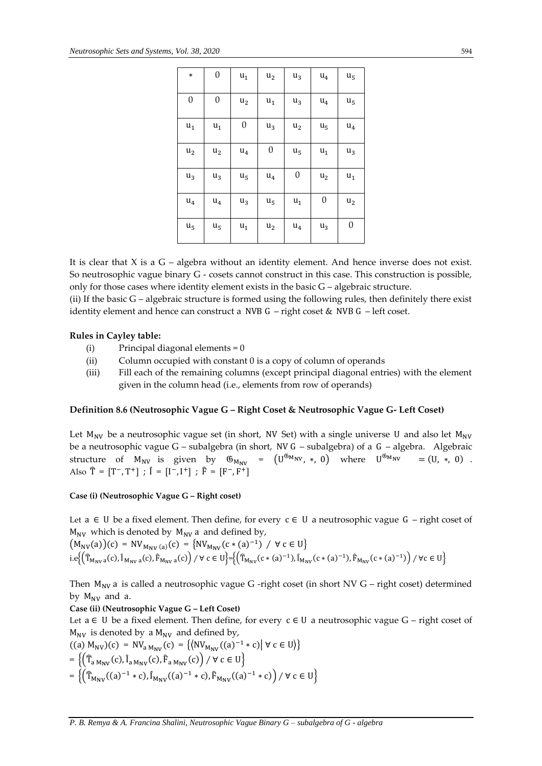| $\ast$           | $\boldsymbol{0}$ | $\mathbf{u}_1$   | $\mathbf{u}_2$   | $u_3$            | $u_4$            | $\mathbf{u}_5$   |
|------------------|------------------|------------------|------------------|------------------|------------------|------------------|
| $\boldsymbol{0}$ | $\boldsymbol{0}$ | $u_2$            | $u_1$            | $u_3$            | $u_4$            | u <sub>5</sub>   |
| $u_1$            | $u_1$            | $\boldsymbol{0}$ | $u_3$            | u <sub>2</sub>   | u <sub>5</sub>   | $\mathbf{u}_4$   |
| u <sub>2</sub>   | $u_2$            | $u_4$            | $\boldsymbol{0}$ | u <sub>5</sub>   | $\mathsf{u}_1$   | $\mathsf{u}_3$   |
| $u_3$            | $u_3$            | $\mathsf{u}_5$   | $u_4$            | $\boldsymbol{0}$ | $u_2$            | $u_1$            |
| $u_4$            | $u_4$            | $u_3$            | $\mathbf{u}_5$   | $\mathbf{u}_1$   | $\boldsymbol{0}$ | u <sub>2</sub>   |
| u <sub>5</sub>   | u <sub>5</sub>   | $\mathbf{u}_1$   | u <sub>2</sub>   | $u_4$            | $u_3$            | $\boldsymbol{0}$ |

It is clear that  $X$  is a  $G$  – algebra without an identity element. And hence inverse does not exist. So neutrosophic vague binary G - cosets cannot construct in this case. This construction is possible, only for those cases where identity element exists in the basic G – algebraic structure.

(ii) If the basic G – algebraic structure is formed using the following rules, then definitely there exist identity element and hence can construct a NVB G – right coset & NVB G – left coset.

# **Rules in Cayley table:**

- (i) Principal diagonal elements = 0
- (ii) Column occupied with constant 0 is a copy of column of operands
- (iii) Fill each of the remaining columns (except principal diagonal entries) with the element given in the column head (i.e., elements from row of operands)

# **Definition 8.6 (Neutrosophic Vague G – Right Coset & Neutrosophic Vague G- Left Coset)**

Let  $M_{\text{NV}}$  be a neutrosophic vague set (in short, NV Set) with a single universe U and also let  $M_{\text{NV}}$ be a neutrosophic vague G – subalgebra (in short, NV G – subalgebra) of a G – algebra. Algebraic structure of  $M_{\text{NV}}$  is given by  $\mathfrak{G}_{M_{\text{NV}}} = (U^{\mathfrak{G}_{M_{\text{NV}}}}, *, 0)$  where  $U^{\mathfrak{G}_{M_{\text{NV}}}} = (U, *, 0)$ . Also  $\hat{T} = [T^-, T^+]$ ;  $\hat{I} = [I^-, I^+]$ ;  $\hat{F} = [F^-, F^+]$ 

## **Case (i) (Neutrosophic Vague G – Right coset)**

Let a ∈ U be a fixed element. Then define, for every  $c \in U$  a neutrosophic vague G – right coset of  $M_{\text{NV}}$  which is denoted by  $M_{\text{NV}}$  a and defined by,

$$
\begin{aligned} & \left( M_{\text{NV}}(a) \right)(c) \, = \, \text{NV}_{M_{\text{NV}}\,(a)}(c) \, = \, \left\{ \text{NV}_{M_{\text{NV}}}\big( c \ast (a)^{-1} \big) \ / \ \forall \, c \in \text{U} \right\} \\ & \left. \text{i.e} \Bigl\{ \left( \widehat{T}_{M_{\text{NV}}\,a}(c), \widehat{I}_{M_{\text{NV}}\,a}(c), \widehat{F}_{M_{\text{NV}}\,a}(c) \right) \ / \ \forall \, c \in \text{U} \Bigr\} = \left\{ \left( \widehat{T}_{M_{\text{NV}}}\bigl( c \ast (a)^{-1} \bigr), \widehat{I}_{M_{\text{NV}}}\bigl( c \ast (a)^{-1} \bigr), \widehat{F}_{M_{\text{NV}}}\bigl( c \ast (a)^{-1} \bigr) \right) \ / \ \forall \, c \in \text{U} \right\} \end{aligned}
$$

Then  $M_{\text{NV}}$  a is called a neutrosophic vague G -right coset (in short NV G – right coset) determined by  $M_{\text{NV}}$  and a.

**Case (ii) (Neutrosophic Vague G – Left Coset)** 

Let a ∈ U be a fixed element. Then define, for every  $c \in U$  a neutrosophic vague G – right coset of  $M_{\text{NV}}$  is denoted by a  $M_{\text{NV}}$  and defined by,

 $((a) M_{NV})(c) = NV_{a M_{NV}}(c) = (\langle NV_{M_{NV}}((a)^{-1} * c) | \forall c \in U \rangle)$  $=\left\{\left(\widehat{\mathrm{T}}_{\mathrm{a\,}M_{\mathrm{NV}}}(\mathrm{c}),\widehat{\mathrm{I}}_{\mathrm{a\,}M_{\mathrm{NV}}}(\mathrm{c}),\widehat{\mathrm{F}}_{\mathrm{a\,}M_{\mathrm{NV}}}(\mathrm{c})\right)/\ \forall\ \mathrm{c}\in\mathrm{U}\right\}$  $=\left\{\left(\widehat{\mathrm{T}}_{\mathrm{M}_{\mathrm{NV}}}((a)^{-1} * \mathrm{c}), \widehat{\mathrm{I}}_{\mathrm{M}_{\mathrm{NV}}}((a)^{-1} * \mathrm{c}), \widehat{\mathrm{F}}_{\mathrm{M}_{\mathrm{NV}}}((a)^{-1} * \mathrm{c})\right)/\ \forall \ \mathrm{c} \in \mathrm{U}\right\}$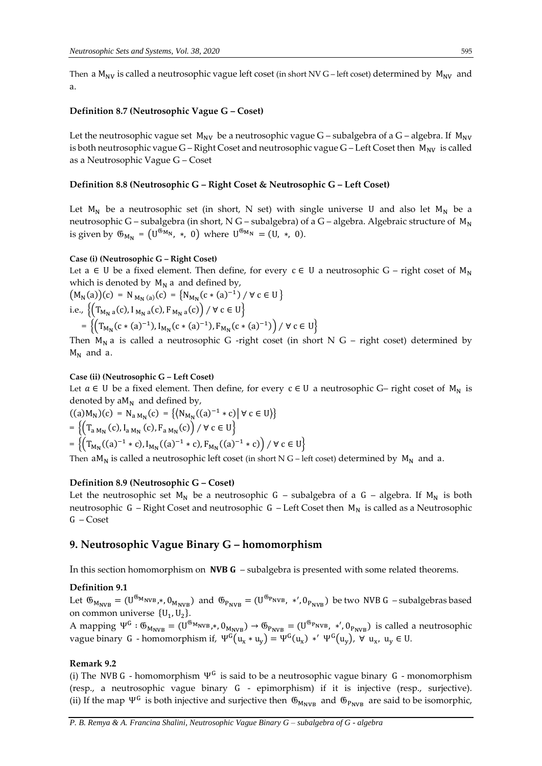Then a  $M_{\text{NV}}$  is called a neutrosophic vague left coset (in short NV G – left coset) determined by  $M_{\text{NV}}$  and a.

#### **Definition 8.7 (Neutrosophic Vague G – Coset)**

Let the neutrosophic vague set  $M_{\text{NV}}$  be a neutrosophic vague G – subalgebra of a G – algebra. If  $M_{\text{NV}}$ is both neutrosophic vague  $G$  – Right Coset and neutrosophic vague  $G$  – Left Coset then  $M_{\text{NV}}$  is called as a Neutrosophic Vague G – Coset

## **Definition 8.8 (Neutrosophic G – Right Coset & Neutrosophic G – Left Coset)**

Let  $M_N$  be a neutrosophic set (in short, N set) with single universe U and also let  $M_N$  be a neutrosophic G – subalgebra (in short, N G – subalgebra) of a G – algebra. Algebraic structure of  $M_N$ is given by  $\mathfrak{G}_{M_N} = (U^{\mathfrak{G}_{M_N}}, * , 0)$  where  $U^{\mathfrak{G}_{M_N}} = (U, *, 0).$ 

#### **Case (i) (Neutrosophic G – Right Coset)**

Let a ∈ U be a fixed element. Then define, for every  $c \in U$  a neutrosophic G – right coset of  $M_N$ which is denoted by  $M_N$  a and defined by,

$$
\begin{aligned} \left(M_{N}(a)\right)(c) &= N_{M_{N}(a)}(c) = \left\{N_{M_{N}}(c*(a)^{-1}) \; / \; \forall \; c \in U\right\} \\ \text{i.e., } & \left\{\left(T_{M_{N}a}(c), I_{M_{N}a}(c), F_{M_{N}a}(c)\right) \; / \; \forall \; c \in U\right\} \\ &= \left\{\left(T_{M_{N}}(c*(a)^{-1}), I_{M_{N}}(c*(a)^{-1}), F_{M_{N}}(c*(a)^{-1})\right) \; / \; \forall \; c \in U\right\} \end{aligned}
$$

Then  $M_N$  a is called a neutrosophic G -right coset (in short N G – right coset) determined by  $M_N$  and a.

#### **Case (ii) (Neutrosophic G – Left Coset)**

Let  $a \in U$  be a fixed element. Then define, for every  $c \in U$  a neutrosophic G– right coset of  $M_N$  is denoted by  $aM_N$  and defined by,

$$
((a)M_N)(c) = N_{a M_N}(c) = \{(N_{M_N}((a)^{-1} * c) | \forall c \in U)\}
$$
  
= 
$$
\{(T_{a M_N}(c), I_{a M_N}(c), F_{a M_N}(c)) / \forall c \in U\}
$$
  
= 
$$
\{(T_{M_N}((a)^{-1} * c), I_{M_N}((a)^{-1} * c), F_{M_N}((a)^{-1} * c)) / \forall c \in U\}
$$

Then  $aM_N$  is called a neutrosophic left coset (in short N G – left coset) determined by  $M_N$  and a.

## **Definition 8.9 (Neutrosophic G – Coset)**

Let the neutrosophic set  $M_N$  be a neutrosophic G – subalgebra of a G – algebra. If  $M_N$  is both neutrosophic G – Right Coset and neutrosophic G – Left Coset then  $M_N$  is called as a Neutrosophic G – Coset

## **9. Neutrosophic Vague Binary G – homomorphism**

In this section homomorphism on  $NVB G - subalgebra$  is presented with some related theorems.

#### **Definition 9.1**

Let  $\mathfrak{G}_{M_{NVB}} = (U^{\mathfrak{G}_{M_{NVB}}}, \mathfrak{d}_{M_{NVB}})$  and  $\mathfrak{G}_{P_{NVB}} = (U^{\mathfrak{G}_{P_{NVB}}}, *', 0_{P_{NVB}})$  be two NVB G – subalgebras based on common universe  $\{U_1, U_2\}$ .

A mapping  $\Psi^G : \mathfrak{G}_{M_{\text{NVB}}} = (U^{\mathfrak{G}_{M_{\text{NVB}}}}, \mathfrak{h}_{M_{\text{NVB}}}) \to \mathfrak{G}_{P_{\text{NVB}}} = (U^{\mathfrak{G}_{P_{\text{NVB}}}}, *', \mathfrak{0}_{P_{\text{NVB}}})$  is called a neutrosophic vague binary G - homomorphism if,  $\Psi^G(u_x * u_y) = \Psi^G(u_x) *' \Psi^G(u_y)$ ,  $\forall u_x, u_y \in U$ .

#### **Remark 9.2**

(i) The NVB G - homomorphism  $\Psi^G$  is said to be a neutrosophic vague binary G - monomorphism (resp., a neutrosophic vague binary G - epimorphism) if it is injective (resp., surjective). (ii) If the map  $\Psi^G$  is both injective and surjective then  $\mathfrak{G}_{M_{NVB}}$  and  $\mathfrak{G}_{P_{NVB}}$  are said to be isomorphic,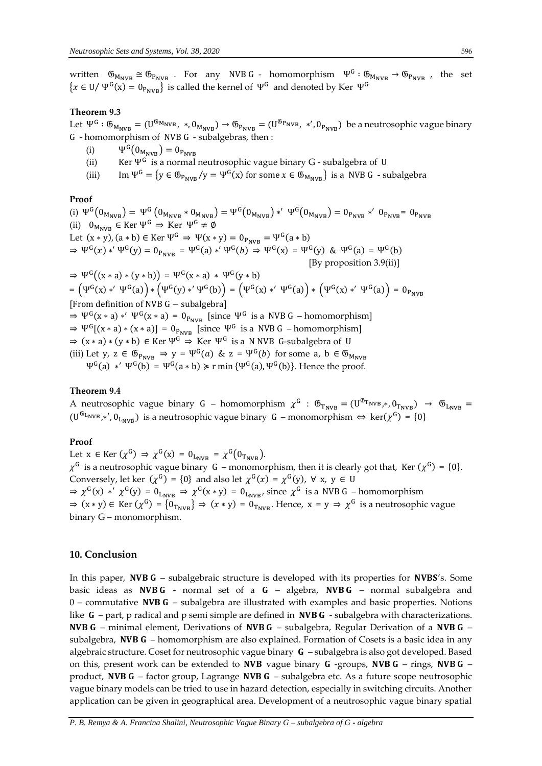written  $\mathfrak{G}_{M_{NVB}} \cong \mathfrak{G}_{P_{NVB}}$  . For any NVB G - homomorphism  $\Psi^G : \mathfrak{G}_{M_{NVB}} \to \mathfrak{G}_{P_{NVB}}$ , the set  ${x \in U / \Psi^G(x) = 0_{P_{\text{NVR}}}}$  is called the kernel of  $\Psi^G$  and denoted by Ker  $\Psi^G$ 

#### **Theorem 9.3**

Let  $\Psi^G$  :  $\mathfrak{G}_{M_{\text{NVB}}} = (\mathsf{U}^{\mathfrak{G}_{\text{M}_{\text{NVB}}}}$ ,  $\ast, \mathsf{0}_{M_{\text{NVB}}}) \to \mathsf{G}_{P_{\text{NVB}}} = (\mathsf{U}^{\mathfrak{G}_{\text{P}_{\text{NVB}}}}$ ,  $\ast', \mathsf{0}_{P_{\text{NVB}}})$  be a neutrosophic vague binary G - homomorphism of NVB G - subalgebras, then :

- (i)  $\Psi^G(0_{M_{\text{NVB}}}) = 0_{P_{\text{NVB}}}$
- (ii) Ker Ψ<sup>G</sup> is a normal neutrosophic vague binary G subalgebra of U
- (iii) Im  $\Psi^G = \{y \in \mathfrak{G}_{P_{\text{NVR}}}/y = \Psi^G(x) \text{ for some } x \in \mathfrak{G}_{M_{\text{NVR}}} \}$  is a NVB G subalgebra

#### **Proof**

(i)  $\Psi^{G}(0_{M_{NVB}}) = \Psi^{G}(0_{M_{NVB}} * 0_{M_{NVB}}) = \Psi^{G}(0_{M_{NVB}}) *' \Psi^{G}(0_{M_{NVB}}) = 0_{P_{NVB}} *' 0_{P_{NVB}} = 0_{P_{NVB}}$ (ii)  $0_{M_{\text{NVB}}} \in \text{Ker } \Psi^G \Rightarrow \text{Ker } \Psi^G \neq \emptyset$ Let  $(x * y)$ ,  $(a * b) \in \text{Ker } \Psi^G \Rightarrow \Psi(x * y) = 0_{P_{\text{NVR}}} = \Psi^G(a * b)$ ⇒  $\Psi^G(x) *' \Psi^G(y) = 0_{P_{\text{NVB}}} = \Psi^G(a) *' \Psi^G(b) \Rightarrow \Psi^G(x) = \Psi^G(y)$  &  $\Psi^G(a) = \Psi^G(b)$  [By proposition 3.9(ii)]  $\Rightarrow \Psi^G((x * a) * (y * b)) = \Psi^G(x * a) * \Psi^G(y * b)$  $=\left(\Psi^G(x)*' \Psi^G(a)\right)*\left(\Psi^G(y)*' \Psi^G(b)\right) = \left(\Psi^G(x)*' \Psi^G(a)\right)*\left(\Psi^G(x)*' \Psi^G(a)\right) = 0_{P_{\text{NVB}}}$ [From definition of NVB G− subalgebra]  $\Rightarrow \Psi^G(x * a) *' \Psi^G(x * a) = 0_{P_{NVB}}$  [since  $\Psi^G$  is a NVB G – homomorphism]  $\Rightarrow \Psi^G[(x * a) * (x * a)] = 0$ <sub>PNVB</sub> [since  $\Psi^G$  is a NVB G – homomorphism]  $\Rightarrow$  (x \* a) \* (y \* b)  $\in$  Ker  $\Psi^G \Rightarrow$  Ker  $\Psi^G$  is a N NVB G-subalgebra of U (iii) Let y,  $z \in \mathfrak{G}_{P_{NVR}} \Rightarrow y = \Psi^G(a)$  &  $z = \Psi^G(b)$  for some a,  $b \in \mathfrak{G}_{M_{NVR}}$  $\Psi^G(a) *'\Psi^G(b) = \Psi^G(a * b) \ge r \min{\Psi^G(a), \Psi^G(b)}$ . Hence the proof.

#### **Theorem 9.4**

A neutrosophic vague binary G – homomorphism  $\chi^G$  :  $\mathfrak{G}_{T_{\text{NVB}}} = (\mathbf{U}^{\mathfrak{G}_{T_{\text{NVB}}}}, \mathbf{U}_{T_{\text{NVB}}}) \rightarrow \mathfrak{G}_{L_{\text{NVB}}}$  $(U^{6L_{NVB},*'}, 0_{L_{NVB}})$  is a neutrosophic vague binary  $G$  – monomorphism  $\Leftrightarrow$   $\text{ker}(\chi^{G}) = \{0\}$ 

## **Proof**

Let  $x \in \text{Ker}(\chi^G) \Rightarrow \chi^G(x) = 0_{L_{\text{NVB}}} = \chi^G(0_{T_{\text{NVB}}}).$  $\chi^G$  is a neutrosophic vague binary G – monomorphism, then it is clearly got that, Ker ( $\chi^G$ ) = {0}. Conversely, let ker  $(\chi^G) = \{0\}$  and also let  $\chi^G(x) = \chi^G(y)$ ,  $\forall x, y \in U$  $\Rightarrow \chi^G(x) *' \chi^G(y) = 0$ <sub>LNVB</sub>  $\Rightarrow \chi^G(x * y) = 0$ <sub>LNVB</sub>, since  $\chi^G$  is a NVB G – homomorphism  $\Rightarrow$   $(x * y) \in$  Ker  $(\chi^G) = \{0_{T_{\text{NVB}}}\}\Rightarrow (x * y) = 0_{T_{\text{NVB}}}$ . Hence,  $x = y \Rightarrow \chi^G$  is a neutrosophic vague binary G – monomorphism.

## **10. Conclusion**

In this paper, **NVB G** – subalgebraic structure is developed with its properties for **NVBS's**. Some basic ideas as **NVB G** - normal set of a  $G -$  algebra, **NVB G** – normal subalgebra and  $0$  – commutative NVB G – subalgebra are illustrated with examples and basic properties. Notions like  $G$  – part, p radical and p semi simple are defined in **NVB G** - subalgebra with characterizations. NVB G – minimal element, Derivations of NVB G – subalgebra, Regular Derivation of a NVB G – subalgebra, **NVB G** – homomorphism are also explained. Formation of Cosets is a basic idea in any algebraic structure. Coset for neutrosophic vague binary  $G$  – subalgebra is also got developed. Based on this, present work can be extended to **NVB** vague binary **G** -groups, **NVB G** - rings, **NVB G** product, NVB  $G$  – factor group, Lagrange NVB  $G$  – subalgebra etc. As a future scope neutrosophic vague binary models can be tried to use in hazard detection, especially in switching circuits. Another application can be given in geographical area. Development of a neutrosophic vague binary spatial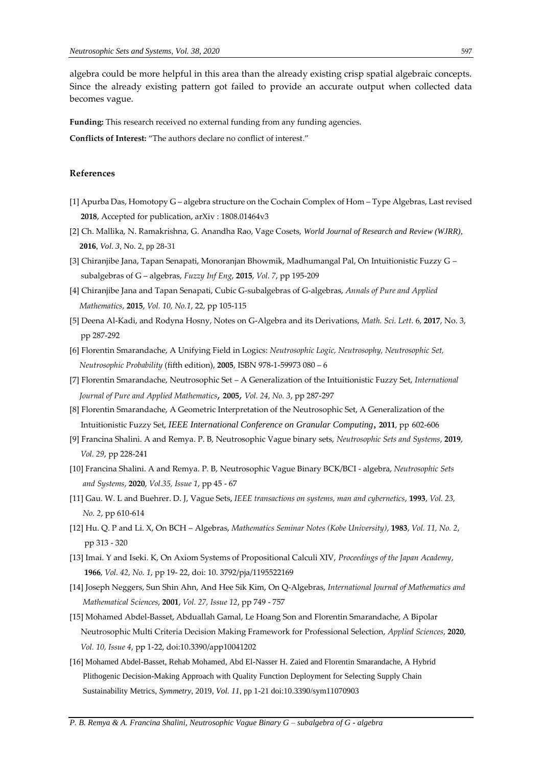algebra could be more helpful in this area than the already existing crisp spatial algebraic concepts. Since the already existing pattern got failed to provide an accurate output when collected data becomes vague.

**Funding:** This research received no external funding from any funding agencies.

**Conflicts of Interest:** "The authors declare no conflict of interest."

## **References**

- [1] Apurba Das, Homotopy G algebra structure on the Cochain Complex of Hom Type Algebras, Last revised **2018**, Accepted for publication, arXiv : 1808.01464v3
- [2] Ch. Mallika, N. Ramakrishna, G. Anandha Rao, Vage Cosets, *World Journal of Research and Review (WJRR)*, **2016**, *Vol. 3*, No. 2, pp 28-31
- [3] Chiranjibe Jana, Tapan Senapati, Monoranjan Bhowmik, Madhumangal Pal, On Intuitionistic Fuzzy G subalgebras of G – algebras, *Fuzzy Inf Eng*, **2015**, *Vol. 7*, pp 195-209
- [4] Chiranjibe Jana and Tapan Senapati, Cubic G-subalgebras of G-algebras, *Annals of Pure and Applied Mathematics*, **2015**, *Vol. 10, No.1*, 22, pp 105-115
- [5] Deena Al-Kadi, and Rodyna Hosny, Notes on G-Algebra and its Derivations, *Math. Sci. Lett*. 6, **2017**, No. 3, pp 287-292
- [6] Florentin Smarandache, A Unifying Field in Logics: *Neutrosophic Logic, Neutrosophy, Neutrosophic Set, Neutrosophic Probability* (fifth edition), **2005**, ISBN 978-1-59973 080 – 6
- [7] Florentin Smarandache, Neutrosophic Set A Generalization of the Intuitionistic Fuzzy Set, *International Journal of Pure and Applied Mathematics*, **2005**, *Vol. 24, No. 3*, pp 287-297
- [8] Florentin Smarandache, A Geometric Interpretation of the Neutrosophic Set, A Generalization of the Intuitionistic Fuzzy Set, *IEEE International Conference on Granular Computing*, **2011**, pp 602-606
- [9] Francina Shalini. A and Remya. P. B, Neutrosophic Vague binary sets, *Neutrosophic Sets and Systems*, **2019**, *Vol. 29*, pp 228-241
- [10] Francina Shalini. A and Remya. P. B, Neutrosophic Vague Binary BCK/BCI algebra, *Neutrosophic Sets and Systems*, **2020**, *Vol.35, Issue 1*, pp 45 - 67
- [11] Gau. W. L and Buehrer. D. J, Vague Sets, *IEEE transactions on systems, man and cybernetics*, **1993**, *Vol. 23, No. 2*, pp 610-614
- [12] Hu. Q. P and Li. X, On BCH Algebras, *Mathematics Seminar Notes (Kobe University)*, **1983**, *Vol. 11, No. 2*, pp 313 - 320
- [13] Imai. Y and Iseki. K, On Axiom Systems of Propositional Calculi XIV, *Proceedings of the Japan Academy*, **1966**, *Vol. 42, No. 1*, pp 19- 22, doi: 10. 3792/pja/1195522169
- [14] Joseph Neggers, Sun Shin Ahn, And Hee Sik Kim, On Q-Algebras, *International Journal of Mathematics and Mathematical Sciences*, **2001**, *Vol. 27, Issue 12*, pp 749 - 757
- [15] Mohamed Abdel-Basset, Abduallah Gamal, Le Hoang Son and Florentin Smarandache, A Bipolar Neutrosophic Multi Criteria Decision Making Framework for Professional Selection, *Applied Sciences*, **2020**, *Vol. 10, Issue 4*, pp 1-22, doi:10.3390/app10041202
- [16] Mohamed Abdel-Basset, Rehab Mohamed, Abd El-Nasser H. Zaied and Florentin Smarandache, A Hybrid Plithogenic Decision-Making Approach with Quality Function Deployment for Selecting Supply Chain Sustainability Metrics, *Symmetry*, 2019, *Vol. 11*, pp 1-21 doi:10.3390/sym11070903